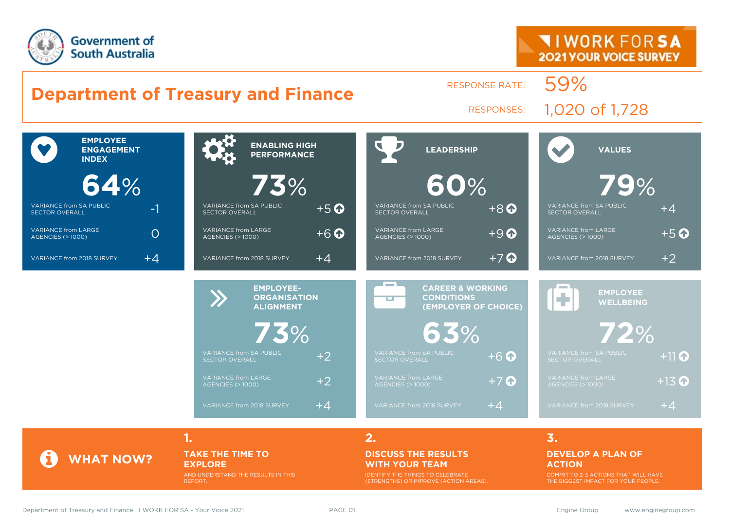



**1. 2. 3.**

### **TAKE THE TIME TO EXPLORE**

AND UNDERSTAND THE RESULTS IN THIS REPORT.

#### **DISCUSS THE RESULTS WITH YOUR TEAM**

IDENTIFY THE THINGS TO CELEBRATE (STRENGTHS) OR IMPROVE (ACTION AREAS).

#### **DEVELOP A PLAN OF ACTION**

COMMIT TO 2-3 ACTIONS THAT WILL HAVE THE BIGGEST IMPACT FOR YOUR PEOPLE.

**WHAT NOW?**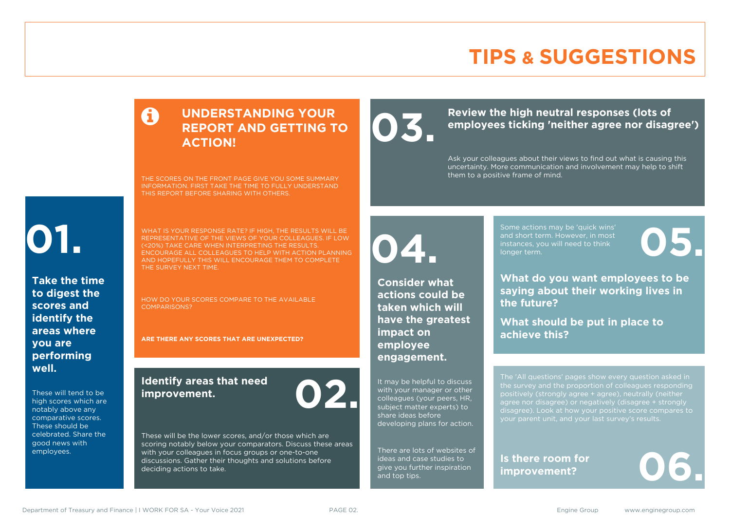### **TIPS & SUGGESTIONS**

### **UNDERSTANDING YOUR REPORT AND GETTING TO ACTION!**

THE SCORES ON THE FRONT PAGE GIVE YOU SOME SUMMARY INFORMATION. FIRST TAKE THE TIME TO FULLY UNDERSTAND THIS REPORT BEFORE SHARING WITH OTHERS.

# **01.**

**Take the time to digest the scores and identify the areas where you are performing well.**

These will tend to be high scores which are notably above any comparative scores. These should be celebrated. Share the good news with employees.

WHAT IS YOUR RESPONSE RATE? IF HIGH, THE RESULTS WILL BE REPRESENTATIVE OF THE VIEWS OF YOUR COLLEAGUES. IF LOW (<20%) TAKE CARE WHEN INTERPRETING THE RESULTS. ENCOURAGE ALL COLLEAGUES TO HELP WITH ACTION PLANNING AND HOPEFULLY THIS WILL ENCOURAGE THEM TO COMPLETE THE SURVEY NEXT TIME.

HOW DO YOUR SCORES COMPARE TO THE AVAILABLE COMPARISONS?

**ARE THERE ANY SCORES THAT ARE UNEXPECTED?**

### **Identify areas that need improvement. 02.**

These will be the lower scores, and/or those which are scoring notably below your comparators. Discuss these areas with your colleagues in focus groups or one-to-one discussions. Gather their thoughts and solutions before deciding actions to take.

**04.**

**impact on employee engagement.**

**Consider what actions could be taken which will have the greatest** 

It may be helpful to discuss with your manager or other colleagues (your peers, HR, subject matter experts) to share ideas before

developing plans for action.

There are lots of websites of ideas and case studies to give you further inspiration

and top tips.

Review the high neutral responses (lots of employees ticking 'neither agree nor disag **employees ticking 'neither agree nor disagree')**

> Ask your colleagues about their views to find out what is causing this uncertainty. More communication and involvement may help to shift them to a positive frame of mind.

> > Some actions may be 'quick wins' and short term. However, in most instances, you will need to think Some actions may be 'quick wins'<br>and short term. However, in most<br>instances, you will need to think<br>longer term.

**What do you want employees to be saying about their working lives in the future?**

**What should be put in place to achieve this?**

The 'All questions' pages show every question asked in positively (strongly agree + agree), neutrally (neither agree nor disagree) or negatively (disagree + strongly disagree). Look at how your positive score compares to your parent unit, and your last survey's results.

**Is there room for**  Is there room for<br>improvement?

Department of Treasury and Finance | I WORK FOR SA - Your Voice 2021 PAGE 02. Some and Department of Treasury and Finance | I WORK FOR SA - Your Voice 2021 PAGE 02.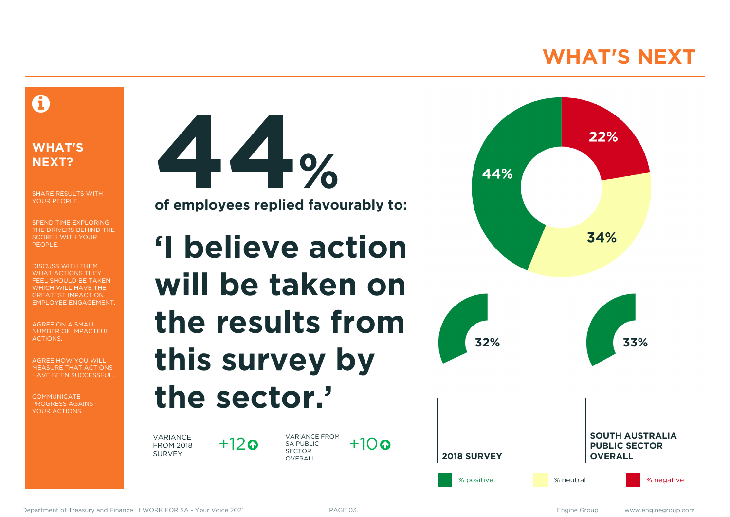### **WHAT'S NEXT**

### A

### **WHAT'S NEXT?**

SHARE RESULTS WITH YOUR PEOPLE.

SPEND TIME EXPLORING THE DRIVERS BEHIND THE SCORES WITH YOUR PEOPLE.

DISCUSS WITH THEM WHAT ACTIONS THEY FEEL SHOULD BE TAKEN WHICH WILL HAVE THE GREATEST IMPACT ON EMPLOYEE ENGAGEMENT.

AGREE ON A SMALL NUMBER OF IMPACTFUL ACTIONS.

AGREE HOW YOU WILL MEASURE THAT ACTIONS HAVE BEEN SUCCESSFUL.

**COMMUNICATE** PROGRESS AGAINST YOUR ACTIONS.



**'I believe action will be taken on the results from this survey by the sector.'**

VARIANCE FROM 2018 SURVEY

 $+12$ ര

VARIANCE FROM SA PUBLIC SECTOR **OVERALL**  $+10a$ 

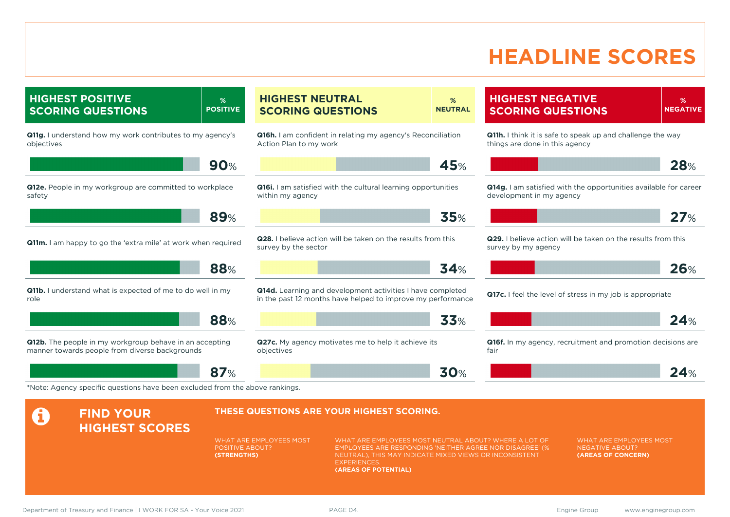### **HEADLINE SCORES**

**%**

**HIGHEST POSITIVE SCORING QUESTIONS % POSITIVE Q11g.** I understand how my work contributes to my agency's objectives **90**% **Q12e.** People in my workgroup are committed to workplace safety **89**% **Q11m.** I am happy to go the 'extra mile' at work when required **88**% **Q11b.** I understand what is expected of me to do well in my role **88**% **Q12b.** The people in my workgroup behave in an accepting manner towards people from diverse backgrounds **87**% **HIGHEST NEUTRAL SCORING QUESTIONS % NEUTRAL Q16h.** I am confident in relating my agency's Reconciliation Action Plan to my work **45**% **Q16i.** I am satisfied with the cultural learning opportunities within my agency **35**% **Q28.** I believe action will be taken on the results from this survey by the sector **34**% **Q14d.** Learning and development activities I have completed in the past 12 months have helped to improve my performance **33**% **Q27c.** My agency motivates me to help it achieve its objectives **30**% **HIGHEST NEGATIVE SCORING QUESTIONS NEGATIVE Q11h.** I think it is safe to speak up and challenge the way things are done in this agency **28**% **Q14g.** I am satisfied with the opportunities available for career development in my agency **27**% **Q29.** I believe action will be taken on the results from this survey by my agency **26**% **Q17c.** I feel the level of stress in my job is appropriate **24**% **Q16f.** In my agency, recruitment and promotion decisions are fair **24**% \*Note: Agency specific questions have been excluded from the above rankings. **A** FIND YOUR **HIGHEST SCORES THESE QUESTIONS ARE YOUR HIGHEST SCORING.** WHAT ARE EMPLOYEES MOST POSITIVE ABOUT? **(STRENGTHS)** WHAT ARE EMPLOYEES MOST NEUTRAL ABOUT? WHERE A LOT OF EMPLOYEES ARE RESPONDING 'NEITHER AGREE NOR DISAGREE' (% NEUTRAL), THIS MAY INDICATE MIXED VIEWS OR INCONSISTENT **EXPERIENCES (AREAS OF POTENTIAL)** WHAT ARE EMPLOYEES MOST NEGATIVE ABOUT? **(AREAS OF CONCERN)** Department of Treasury and Finance | I WORK FOR SA - Your Voice 2021 PAGE 04. Engine Group Engine Group www.enginegroup.com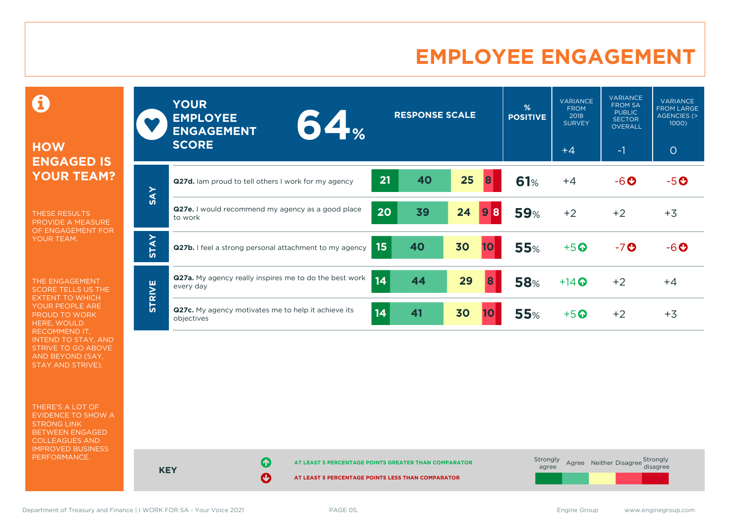### **EMPLOYEE ENGAGEMENT**

0

### **HOW ENGAGED IS YOUR TEAM?**

THESE RESULTS PROVIDE A MEASURE OF ENGAGEMENT FOR YOUR TEAM.

THE ENGAGEMENT SCORE TELLS US THE EXTENT TO WHICH YOUR PEOPLE ARE PROUD TO WORK HERE, WOULD RECOMMEND IT, INTEND TO STAY, AND STRIVE TO GO ABOVE AND BEYOND (SAY, STAY AND STRIVE).

THERE'S A LOT OF EVIDENCE TO SHOW A STRONG LINK BETWEEN ENGAGED COLLEAGUES AND IMPROVED BUSINESS PERFORMANCE.

|               | <b>YOUR</b><br><b>EMPLOYEE</b><br>64 <sub>%</sub><br><b>ENGAGEMENT</b><br><b>SCORE</b> | <b>RESPONSE SCALE</b> |                 | %<br><b>POSITIVE</b> | <b>VARIANCE</b><br><b>FROM</b><br>2018<br><b>SURVEY</b><br>$+4$ | <b>VARIANCE</b><br><b>FROM SA</b><br><b>PUBLIC</b><br><b>SECTOR</b><br><b>OVERALL</b><br>$-1$ | <b>VARIANCE</b><br><b>FROM LARGE</b><br>AGENCIES (><br>1000<br>$\circ$ |
|---------------|----------------------------------------------------------------------------------------|-----------------------|-----------------|----------------------|-----------------------------------------------------------------|-----------------------------------------------------------------------------------------------|------------------------------------------------------------------------|
|               | Q27d. Iam proud to tell others I work for my agency                                    | 21<br>40              | 25<br>8         | 61%                  | $+4$                                                            | $-6o$                                                                                         | $-5$ $\odot$                                                           |
| <b>SAY</b>    | <b>Q27e.</b> I would recommend my agency as a good place<br>to work                    | 20<br>39              | 24<br>8<br>9    | <b>59%</b>           | $+2$                                                            | $+2$                                                                                          | $+3$                                                                   |
| <b>STAY</b>   | Q27b. I feel a strong personal attachment to my agency                                 | 40<br>15              | 30<br><b>10</b> | <b>55%</b>           | $+5$ <sup>O</sup>                                               | $-7o$                                                                                         | $-6$ $\odot$                                                           |
|               | Q27a. My agency really inspires me to do the best work<br>every day                    | 14<br>44              | 29<br>8         | <b>58%</b>           | $+14$ $\odot$                                                   | $+2$                                                                                          | $+4$                                                                   |
| <b>STRIVE</b> | Q27c. My agency motivates me to help it achieve its<br>objectives                      | 14<br>41              | 30<br>10        | 55%                  | $+5$ <sup>O</sup>                                               | $+2$                                                                                          | $+3$                                                                   |

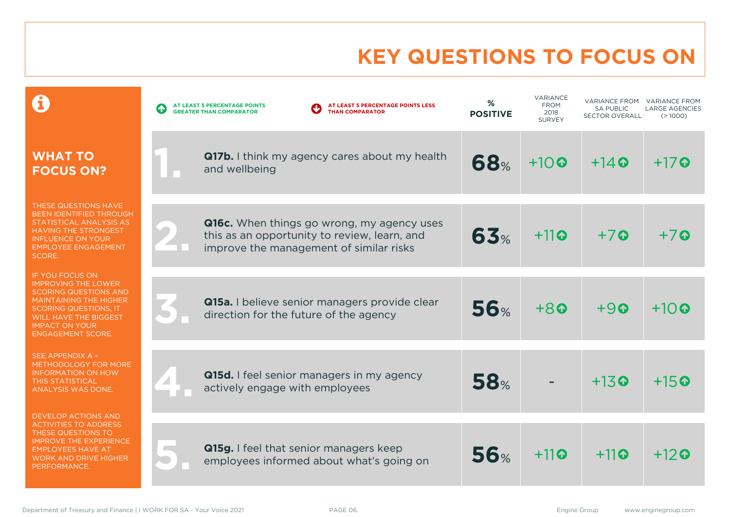# **KEY QUESTIONS TO FOCUS ON**

|                                                                                                                                                                                                                              | AT LEAST 5 PERCENTAGE POINTS LESS<br>AT LEAST 5 PERCENTAGE POINTS<br><b>THAN COMPARATOR</b><br><b>GREATER THAN COMPARATOR</b>         | %<br><b>POSITIVE</b> | <b>VARIANCE</b><br><b>FROM</b><br>2018<br><b>SURVEY</b> | <b>VARIANCE FROM</b><br><b>SA PUBLIC</b><br><b>SECTOR OVERALL</b> | <b>VARIANCE FROM</b><br><b>LARGE AGENCIES</b><br>(>1000) |
|------------------------------------------------------------------------------------------------------------------------------------------------------------------------------------------------------------------------------|---------------------------------------------------------------------------------------------------------------------------------------|----------------------|---------------------------------------------------------|-------------------------------------------------------------------|----------------------------------------------------------|
| <b>WHAT TO</b><br><b>FOCUS ON?</b>                                                                                                                                                                                           | Q17b. I think my agency cares about my health<br>and wellbeing                                                                        | <b>68%</b>           | $+10$                                                   | $+14$ $\odot$                                                     | $+17$ $\odot$                                            |
| THESE QUESTIONS HAVE<br><b>BEEN IDENTIFIED THROUGH</b><br>STATISTICAL ANALYSIS AS<br><b>HAVING THE STRONGEST</b><br><b>INFLUENCE ON YOUR</b><br><b>EMPLOYEE ENGAGEMENT</b><br>SCORE.                                         | Q16c. When things go wrong, my agency uses<br>this as an opportunity to review, learn, and<br>improve the management of similar risks | 63%                  | $+11$ <sup>o</sup>                                      | $+7$                                                              | $+7$                                                     |
| IF YOU FOCUS ON<br><b>IMPROVING THE LOWER</b><br><b>SCORING QUESTIONS AND</b><br><b>MAINTAINING THE HIGHER</b><br><b>SCORING QUESTIONS, IT</b><br>WILL HAVE THE BIGGEST<br><b>IMPACT ON YOUR</b><br><b>ENGAGEMENT SCORE.</b> | Q15a. I believe senior managers provide clear<br>direction for the future of the agency                                               | 56%                  | $+80$                                                   | $+9$                                                              | $+10$ Q                                                  |
| SEE APPENDIX A -<br>METHODOLOGY FOR MORE<br><b>INFORMATION ON HOW</b><br>THIS STATISTICAL<br>ANALYSIS WAS DONE.                                                                                                              | Q15d. I feel senior managers in my agency<br>actively engage with employees                                                           | <b>58%</b>           |                                                         | $+13$ <sup><math>\odot</math></sup>                               | $+15$ <sup><math>\odot</math></sup>                      |
| <b>DEVELOP ACTIONS AND</b><br><b>ACTIVITIES TO ADDRESS</b><br>THESE QUESTIONS TO<br><b>IMPROVE THE EXPERIENCE</b><br><b>EMPLOYEES HAVE AT</b><br><b>WORK AND DRIVE HIGHER</b><br>PERFORMANCE.                                | Q15g. I feel that senior managers keep<br>employees informed about what's going on                                                    | 56%                  | $+11$                                                   | $+11$                                                             | $+12$ @                                                  |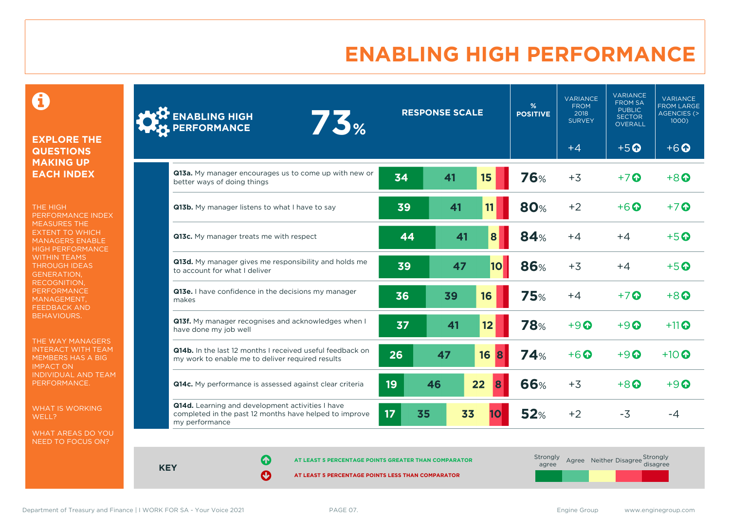## **ENABLING HIGH PERFORMANCE**

 $\mathbf \Theta$ 

#### **EXPLORE THE QUESTIONS MAKING UP EACH INDEX**

THE HIGH PERFORMANCE INDEX MEASURES THE EXTENT TO WHICH MANAGERS ENABLE HIGH PERFORMANCE WITHIN TEAMS THROUGH IDEAS GENERATION, RECOGNITION, **PERFORMANCE** MANAGEMENT, FEEDBACK AND BEHAVIOURS.

THE WAY MANAGERS INTERACT WITH TEAM MEMBERS HAS A BIG IMPACT ON INDIVIDUAL AND TEAM PERFORMANCE.

WHAT IS WORKING WELL?

WHAT AREAS DO YOU NEED TO FOCUS ON?

| <b>ENABLING HIGH<br/>PERFORMANCE</b><br>73%                                                                                  | <b>RESPONSE SCALE</b> |          |           | %<br><b>POSITIVE</b> | <b>VARIANCE</b><br><b>FROM</b><br>2018<br><b>SURVEY</b> | <b>VARIANCE</b><br><b>FROM SA</b><br><b>PUBLIC</b><br><b>SECTOR</b><br><b>OVERALL</b> | <b>VARIANCE</b><br><b>FROM LARGE</b><br><b>AGENCIES (&gt;</b><br>1000) |
|------------------------------------------------------------------------------------------------------------------------------|-----------------------|----------|-----------|----------------------|---------------------------------------------------------|---------------------------------------------------------------------------------------|------------------------------------------------------------------------|
|                                                                                                                              |                       |          |           |                      | $+4$                                                    | $+5$ <sup><math>\odot</math></sup>                                                    | $+6$ <sup><math>\odot</math></sup>                                     |
| <b>Q13a.</b> My manager encourages us to come up with new or<br>better ways of doing things                                  | 34                    | 41       | 15        | 76%                  | $+3$                                                    | $+7$ $\odot$                                                                          | $+8$ <sup><math>\odot</math></sup>                                     |
| Q13b. My manager listens to what I have to say                                                                               | 39                    | 41       | 11        | <b>80%</b>           | $+2$                                                    | $+6$ $\odot$                                                                          | $+7$ $\odot$                                                           |
| Q13c. My manager treats me with respect                                                                                      | 44                    | 41       | 8         | <b>84%</b>           | $+4$                                                    | $+4$                                                                                  | $+5$ $\odot$                                                           |
| Q13d. My manager gives me responsibility and holds me<br>to account for what I deliver                                       | 39                    | 47       | <b>10</b> | 86%                  | $+3$                                                    | $+4$                                                                                  | $+5$ $\odot$                                                           |
| Q13e. I have confidence in the decisions my manager<br>makes                                                                 | 36                    | 39       | 16        | <b>75%</b>           | $+4$                                                    | $+7$ $\odot$                                                                          | $+8$ <sup><math>\odot</math></sup>                                     |
| Q13f. My manager recognises and acknowledges when I<br>have done my job well                                                 | 37                    | 41       | 12        | <b>78%</b>           | $+9$                                                    | $+9$ $\odot$                                                                          | $+11$ <sup>O</sup>                                                     |
| <b>Q14b.</b> In the last 12 months I received useful feedback on<br>my work to enable me to deliver required results         | 26                    | 47       | 16<br>8   | <b>74%</b>           | $+6$ $\Omega$                                           | $+9$ $\odot$                                                                          | $+10$ $\odot$                                                          |
| Q14c. My performance is assessed against clear criteria                                                                      | 19                    | 46       | 22<br>8   | <b>66%</b>           | $+3$                                                    | $+8$ $\odot$                                                                          | $+9$ $\odot$                                                           |
| Q14d. Learning and development activities I have<br>completed in the past 12 months have helped to improve<br>my performance | 17                    | 33<br>35 |           | 52%                  | $+2$                                                    | $-3$                                                                                  | $-4$                                                                   |

**KEY**

**AT LEAST 5 PERCENTAGE POINTS GREATER THAN COMPARATOR** 

| Strongly<br>agree |  | Agree Neither Disagree Strongly<br>disagree |
|-------------------|--|---------------------------------------------|
|                   |  |                                             |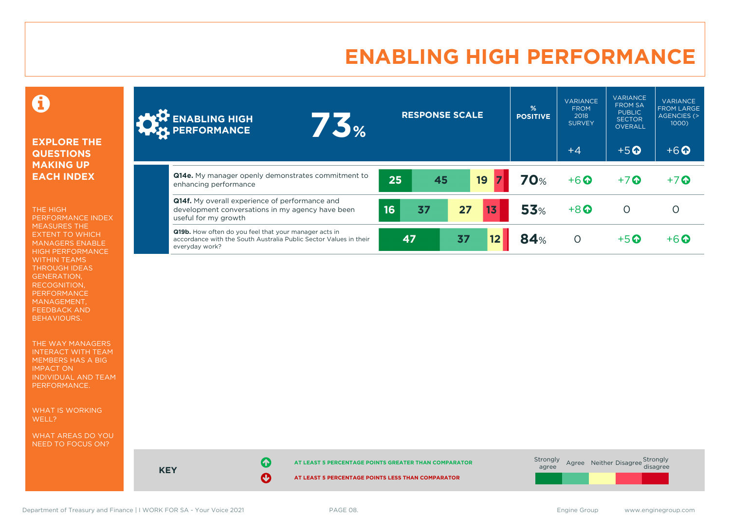### **ENABLING HIGH PERFORMANCE**



#### **EXPLORE THE QUESTIONS MAKING UP EACH INDEX**

THE HIGH PERFORMANCE INDEX MEASURES THE EXTENT TO WHICH MANAGERS ENABLE HIGH PERFORMANCE WITHIN TEAMS THROUGH IDEAS GENERATION, RECOGNITION, PERFORMANCE MANAGEMENT, FEEDBACK AND BEHAVIOURS.

THE WAY MANAGERS INTERACT WITH TEAM MEMBERS HAS A BIG IMPACT ON INDIVIDUAL AND TEAM PERFORMANCE.

WHAT IS WORKING WELL?

WHAT AREAS DO YOU NEED TO FOCUS ON?

| <b>ONE ENABLING HIGH</b><br>1.5%                                                                                                             |          | <b>RESPONSE SCALE</b> | $\frac{9}{6}$<br><b>POSITIVE</b> | <b>VARIANCE</b><br><b>FROM</b><br>2018<br><b>SURVEY</b> | <b>VARIANCE</b><br><b>FROM SA</b><br><b>PUBLIC</b><br><b>SECTOR</b><br><b>OVERALL</b> | <b>VARIANCE</b><br><b>FROM LARGE</b><br>AGENCIES (><br>1000) |
|----------------------------------------------------------------------------------------------------------------------------------------------|----------|-----------------------|----------------------------------|---------------------------------------------------------|---------------------------------------------------------------------------------------|--------------------------------------------------------------|
|                                                                                                                                              |          |                       |                                  | $+4$                                                    | $+5$ <sup><math>\odot</math></sup>                                                    | $+6$ <sup><math>\odot</math></sup>                           |
| <b>Q14e.</b> My manager openly demonstrates commitment to<br>enhancing performance                                                           | 25       | 19<br>45              | <b>70%</b>                       | $+6$ <sup><math>\odot</math></sup>                      | $+7$                                                                                  | $+7$ $\odot$                                                 |
| <b>Q14f.</b> My overall experience of performance and<br>development conversations in my agency have been<br>useful for my growth            | 37<br>16 | 27                    | <b>53%</b><br>13                 | $+8$ <sup><math>\odot</math></sup>                      | O                                                                                     | O                                                            |
| Q19b. How often do you feel that your manager acts in<br>accordance with the South Australia Public Sector Values in their<br>everyday work? | 47       | 37                    | <b>84%</b><br>$12 \,$            | $\circ$                                                 | $+5$ $\odot$                                                                          | $+6$ $\Omega$                                                |



Department of Treasury and Finance | I WORK FOR SA - Your Voice 2021 PAGE 08. The Same Communication of Treasury and Finance | I WORK FOR SA - Your Voice 2021 PAGE 08.

**KEY**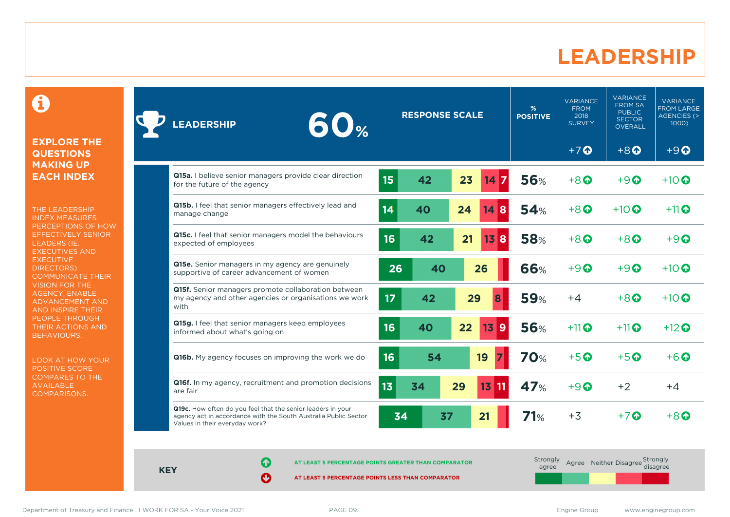### **LEADERSHIP**

0

#### **EXPLORE THE QUESTIONS MAKING UP EACH INDEX**

THE LEADERSHIP INDEX MEASURES PERCEPTIONS OF HOW EFFECTIVELY SENIOR LEADERS (IE. EXECUTIVES AND **EXECUTIVE** DIRECTORS) COMMUNICATE THEIR VISION FOR THE AGENCY, ENABLE ADVANCEMENT AND AND INSPIRE THEIR PEOPLE THROUGH THEIR ACTIONS AND BEHAVIOURS.

LOOK AT HOW YOUR POSITIVE SCORE COMPARES TO THE AVAILABLE COMPARISONS.

| 60 <sub>%</sub><br><b>LEADERSHIP</b>                                                                                                                             | <b>RESPONSE SCALE</b>          | %<br><b>POSITIVE</b> | <b>VARIANCE</b><br><b>FROM</b><br>2018<br><b>SURVEY</b> | <b>VARIANCE</b><br><b>FROM SA</b><br><b>PUBLIC</b><br><b>SECTOR</b><br><b>OVERALL</b> | <b>VARIANCE</b><br><b>FROM LARGE</b><br><b>AGENCIES (&gt;</b><br>1000) |
|------------------------------------------------------------------------------------------------------------------------------------------------------------------|--------------------------------|----------------------|---------------------------------------------------------|---------------------------------------------------------------------------------------|------------------------------------------------------------------------|
|                                                                                                                                                                  |                                |                      | $+7$ $\Omega$                                           | $+8$                                                                                  | $+9$                                                                   |
| Q15a. I believe senior managers provide clear direction<br>for the future of the agency                                                                          | 15 <sub>15</sub><br>23<br>42   | <b>56%</b>           | $+8$ <sup><math>\odot</math></sup>                      | $+9$ $\odot$                                                                          | $+10$ $\odot$                                                          |
| Q15b. I feel that senior managers effectively lead and<br>manage change                                                                                          | 14<br>40<br>24<br>14<br>8      | 54%                  | $+8$ $\Omega$                                           | $+10$ $\odot$                                                                         | $+11$                                                                  |
| Q15c. I feel that senior managers model the behaviours<br>expected of employees                                                                                  | 16<br>21<br>42<br>13<br>8      | <b>58%</b>           | $+8$ $\odot$                                            | $+8\Omega$                                                                            | $+9$ $\Omega$                                                          |
| <b>Q15e.</b> Senior managers in my agency are genuinely<br>supportive of career advancement of women                                                             | 26<br>40<br>26                 | <b>66%</b>           | $+9$ $\Omega$                                           | $+9$ $\odot$                                                                          | $+10$ $\odot$                                                          |
| Q15f. Senior managers promote collaboration between<br>my agency and other agencies or organisations we work<br>with                                             | 17<br>29<br>42<br>8            | <b>59%</b>           | $+4$                                                    | $+8$ $\odot$                                                                          | $+10$ $\odot$                                                          |
| Q15g. I feel that senior managers keep employees<br>informed about what's going on                                                                               | 16<br>22<br>139<br>40          | <b>56%</b>           | $+11$ <sup><math>\odot</math></sup>                     | $+11$                                                                                 | $+12$ <sup>O</sup>                                                     |
| <b>Q16b.</b> My agency focuses on improving the work we do                                                                                                       | 16<br>54<br>19                 | <b>70%</b>           | $+5$ <sup><math>\odot</math></sup>                      | $+5$ <sup><math>\odot</math></sup>                                                    | $+6$ $\odot$                                                           |
| Q16f. In my agency, recruitment and promotion decisions<br>are fair                                                                                              | 13<br>34<br>29<br><b>13 11</b> | <b>47%</b>           | $+9$ $\odot$                                            | $+2$                                                                                  | $+4$                                                                   |
| Q19c. How often do you feel that the senior leaders in your<br>agency act in accordance with the South Australia Public Sector<br>Values in their everyday work? | 34<br>37<br>21                 | 71%                  | $+3$                                                    | $+7$ M                                                                                | $+8$ $\Omega$                                                          |

**KEY**

**AT LEAST 5 PERCENTAGE POINTS GREATER THAN COMPARATOR** 

**AT LEAST 5 PERCENTAGE POINTS LESS THAN COMPARATOR** 

Strongly agree Agree Neither Disagree Strongly<br>disagree

Department of Treasury and Finance | I WORK FOR SA - Your Voice 2021 PAGE 09. PAGE 09.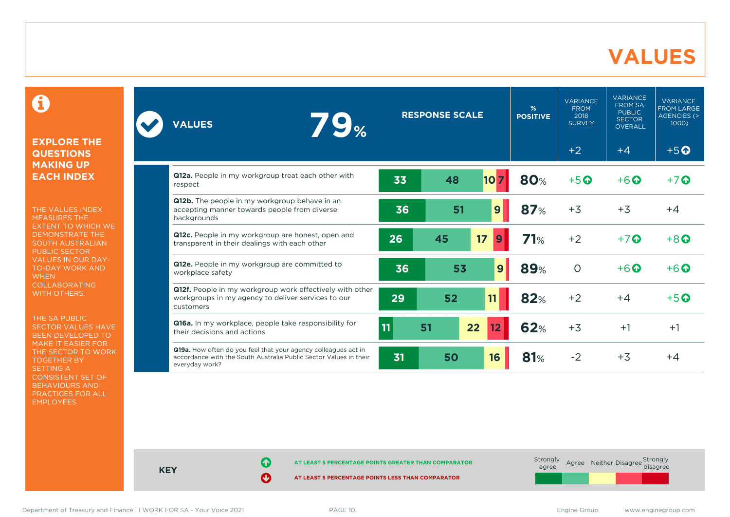### **VALUES**

0

#### **EXPLORE THE QUESTIONS MAKING UP EACH INDEX**

THE VALUES INDEX MEASURES THE EXTENT TO WHICH WE DEMONSTRATE THE SOUTH AUSTRALIAN PUBLIC SECTOR VALUES IN OUR DAY-TO-DAY WORK AND **WHEN** COLLABORATING WITH OTHERS.

THE SA PUBLIC SECTOR VALUES HAVE BEEN DEVELOPED TO MAKE IT EASIER FOR THE SECTOR TO WORK TOGETHER BY SETTING A CONSISTENT SET OF BEHAVIOURS AND PRACTICES FOR ALL EMPLOYEES.

| <b>79%</b><br><b>VALUES</b>                                                                                                                           | <b>RESPONSE SCALE</b> |    | $\frac{9}{6}$<br><b>POSITIVE</b> | <b>VARIANCE</b><br><b>FROM</b><br>2018<br><b>SURVEY</b> | <b>VARIANCE</b><br><b>FROM SA</b><br><b>PUBLIC</b><br><b>SECTOR</b><br><b>OVERALL</b> | <b>VARIANCE</b><br><b>FROM LARGE</b><br>AGENCIES (><br>1000 |                                    |
|-------------------------------------------------------------------------------------------------------------------------------------------------------|-----------------------|----|----------------------------------|---------------------------------------------------------|---------------------------------------------------------------------------------------|-------------------------------------------------------------|------------------------------------|
|                                                                                                                                                       |                       |    |                                  |                                                         | $+2$                                                                                  | $+4$                                                        | $+5$ <sup>O</sup>                  |
| <b>Q12a.</b> People in my workgroup treat each other with<br>respect                                                                                  | 33                    | 48 | 10 <sub>l</sub><br>7             | <b>80%</b>                                              | $+5$ <sup>O</sup>                                                                     | $+6$ $\odot$                                                | $+7$ $\odot$                       |
| Q12b. The people in my workgroup behave in an<br>accepting manner towards people from diverse<br>backgrounds                                          | 36                    | 51 | 9                                | 87%                                                     | $+3$                                                                                  | $+3$                                                        | $+4$                               |
| Q12c. People in my workgroup are honest, open and<br>transparent in their dealings with each other                                                    | 26                    | 45 | 17<br>9                          | 71%                                                     | $+2$                                                                                  | $+7$ $\odot$                                                | $+8$ <sup><math>\odot</math></sup> |
| Q12e. People in my workgroup are committed to<br>workplace safety                                                                                     | 36                    | 53 | 9                                | <b>89%</b>                                              | $\circ$                                                                               | $+6$ $\odot$                                                | $+6\Omega$                         |
| Q12f. People in my workgroup work effectively with other<br>workgroups in my agency to deliver services to our<br>customers                           | 29                    | 52 | 11                               | 82%                                                     | $+2$                                                                                  | $+4$                                                        | $+5$ $\odot$                       |
| Q16a. In my workplace, people take responsibility for<br>their decisions and actions                                                                  | $\overline{11}$       | 51 | 22<br>12                         | <b>62%</b>                                              | $+3$                                                                                  | $+1$                                                        | $+1$                               |
| Q19a. How often do you feel that your agency colleagues act in<br>accordance with the South Australia Public Sector Values in their<br>everyday work? | 31                    | 50 | 16                               | 81%                                                     | $-2$                                                                                  | $+3$                                                        | $+4$                               |



Department of Treasury and Finance | I WORK FOR SA - Your Voice 2021 PAGE 10. The Same Compare Service Compare of Treasury and Finance | I WORK FOR SA - Your Voice 2021 PAGE 10.

**KEY**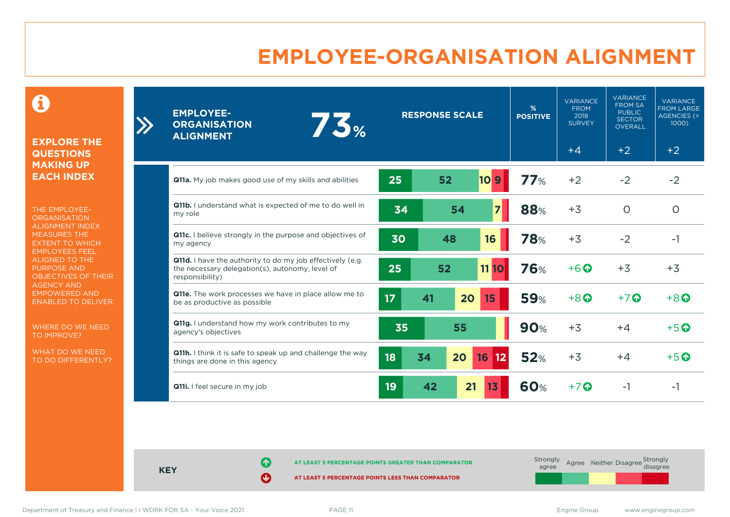### **EMPLOYEE-ORGANISATION ALIGNMENT**

0

**EXPLORE THE QUESTIONS MAKING UP EACH INDEX**

THE EMPLOYEE-**ORGANISATION** ALIGNMENT INDEX MEASURES THE EXTENT TO WHICH EMPLOYEES FEEL ALIGNED TO THE PURPOSE AND OBJECTIVES OF THEIR AGENCY AND EMPOWERED AND ENABLED TO DELIVER.

WHERE DO WE NEED TO IMPROVE?

WHAT DO WE NEED TO DO DIFFERENTLY?

| <b>EMPLOYEE-</b><br>73%<br><b>ORGANISATION</b><br><b>ALIGNMENT</b>                                                                     | <b>RESPONSE SCALE</b>             | %<br><b>POSITIVE</b> | <b>VARIANCE</b><br><b>FROM</b><br>2018<br><b>SURVEY</b> | <b>VARIANCE</b><br><b>FROM SA</b><br><b>PUBLIC</b><br><b>SECTOR</b><br><b>OVERALL</b> | <b>VARIANCE</b><br>FROM LARGE<br>AGENCIES (><br>1000) |
|----------------------------------------------------------------------------------------------------------------------------------------|-----------------------------------|----------------------|---------------------------------------------------------|---------------------------------------------------------------------------------------|-------------------------------------------------------|
|                                                                                                                                        |                                   |                      | $+4$                                                    | $+2$                                                                                  | $+2$                                                  |
| <b>Q11a.</b> My job makes good use of my skills and abilities                                                                          | 25<br>52<br>10 <sub>9</sub>       | 77%                  | $+2$                                                    | $-2$                                                                                  | $-2$                                                  |
| Q11b. I understand what is expected of me to do well in<br>my role                                                                     | $\overline{7}$<br>34<br>54        | 88%                  | $+3$                                                    | $\circ$                                                                               | $\circ$                                               |
| Q11c. I believe strongly in the purpose and objectives of<br>my agency                                                                 | 30<br>48<br>16                    | <b>78%</b>           | $+3$                                                    | $-2$                                                                                  | $-1$                                                  |
| <b>Q11d.</b> I have the authority to do my job effectively (e.g.<br>the necessary delegation(s), autonomy, level of<br>responsibility) | 25<br>52<br>11 10                 | <b>76%</b>           | $+6$                                                    | $+3$                                                                                  | $+3$                                                  |
| Q11e. The work processes we have in place allow me to<br>be as productive as possible                                                  | 17 <sub>2</sub><br>20<br>15<br>41 | <b>59%</b>           | $+8$ <sup><math>\odot</math></sup>                      | $+7$ $\odot$                                                                          | $+8$ <sup><math>\odot</math></sup>                    |
| Q11g. I understand how my work contributes to my<br>agency's objectives                                                                | 35<br>55                          | <b>90%</b>           | $+3$                                                    | $+4$                                                                                  | $+5$ <sup><math>\odot</math></sup>                    |
| Q11h. I think it is safe to speak up and challenge the way<br>things are done in this agency                                           | 18<br>34<br>20<br>16<br>12        | 52%                  | $+3$                                                    | $+4$                                                                                  | $+5$ <sup>O</sup>                                     |
| Q11i. I feel secure in my job                                                                                                          | 21<br>19<br>42<br>1 <sub>3</sub>  | <b>60%</b>           | $+7$ $\odot$                                            | -1                                                                                    | -1                                                    |

**AT LEAST 5 PERCENTAGE POINTS GREATER THAN COMPARATOR** 

**AT LEAST 5 PERCENTAGE POINTS LESS THAN COMPARATOR** 

**KEY**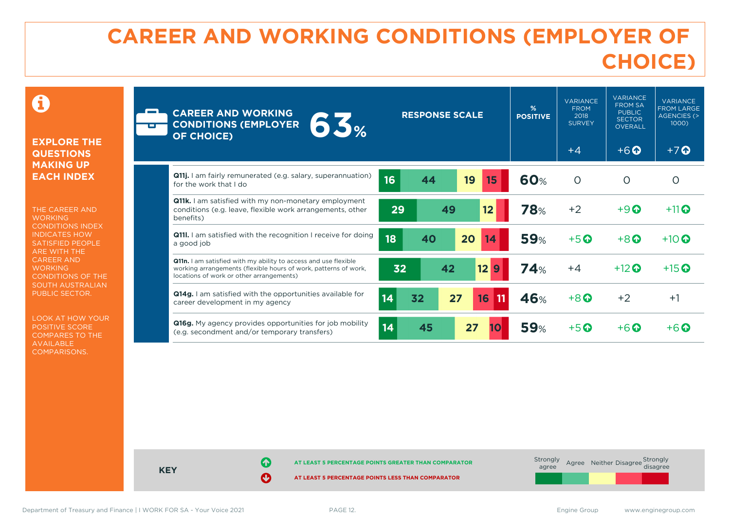# **CAREER AND WORKING CONDITIONS (EMPLOYER OF CHOICE)**

 $\mathbf \Omega$ 

#### **EXPLORE THE QUESTIONS MAKING UP EACH INDEX**

THE CAREER AND **WORKING** CONDITIONS INDEX INDICATES HOW SATISFIED PEOPLE ARE WITH THE CAREER AND **WORKING** CONDITIONS OF THE SOUTH AUSTRALIAN PUBLIC SECTOR.

LOOK AT HOW YOUR POSITIVE SCORE COMPARES TO THE AVAILABLE COMPARISONS.

| <b>CAREER AND WORKING</b><br>63%<br><b>CONDITIONS (EMPLOYER</b><br><b>OF CHOICE)</b>                                                                                           | <b>RESPONSE SCALE</b>      | %<br><b>POSITIVE</b> | <b>VARIANCE</b><br><b>FROM</b><br>2018<br><b>SURVEY</b><br>$+4$ | <b>VARIANCE</b><br><b>FROM SA</b><br><b>PUBLIC</b><br><b>SECTOR</b><br><b>OVERALL</b><br>$+6$ <sup><math>\odot</math></sup> | <b>VARIANCE</b><br><b>FROM LARGE</b><br><b>AGENCIES (&gt;</b><br>1000<br>$+7$ $\Omega$ |
|--------------------------------------------------------------------------------------------------------------------------------------------------------------------------------|----------------------------|----------------------|-----------------------------------------------------------------|-----------------------------------------------------------------------------------------------------------------------------|----------------------------------------------------------------------------------------|
| Q11j. I am fairly remunerated (e.g. salary, superannuation)<br>for the work that I do                                                                                          | 16<br>19<br>44<br>15       | <b>60%</b>           | $\circ$                                                         | O                                                                                                                           | Ω                                                                                      |
| <b>Q11k.</b> I am satisfied with my non-monetary employment<br>conditions (e.g. leave, flexible work arrangements, other<br>benefits)                                          | 29<br>49<br>12             | <b>78%</b>           | $+2$                                                            | $+9$ <sup><math>\odot</math></sup>                                                                                          | $+11$ <sup>O</sup>                                                                     |
| <b>Q111.</b> I am satisfied with the recognition I receive for doing<br>a good job                                                                                             | 18<br>20<br>40<br>14       | <b>59%</b>           | $+5$ <sup><math>\odot</math></sup>                              | $+8$ <sup><math>\odot</math></sup>                                                                                          | $+10$ $\odot$                                                                          |
| Q11n. I am satisfied with my ability to access and use flexible<br>working arrangements (flexible hours of work, patterns of work,<br>locations of work or other arrangements) | 12<br>42<br>32<br>9        | 74%                  | $+4$                                                            | $+12$ $\odot$                                                                                                               | $+15$ <sup>O</sup>                                                                     |
| <b>Q14g.</b> I am satisfied with the opportunities available for<br>career development in my agency                                                                            | 14<br>32<br>27<br>16<br>11 | 46%                  | $+8$ <sup><math>\odot</math></sup>                              | $+2$                                                                                                                        | $+1$                                                                                   |
| Q16g. My agency provides opportunities for job mobility<br>(e.g. secondment and/or temporary transfers)                                                                        | 14<br>27<br>45             | <b>59%</b>           | $+5$ $\odot$                                                    | $+6\Omega$                                                                                                                  | $+6\Omega$                                                                             |



Department of Treasury and Finance | I WORK FOR SA - Your Voice 2021 PAGE 12. The Same Communication of Treasury and Finance | I WORK FOR SA - Your Voice 2021 PAGE 12.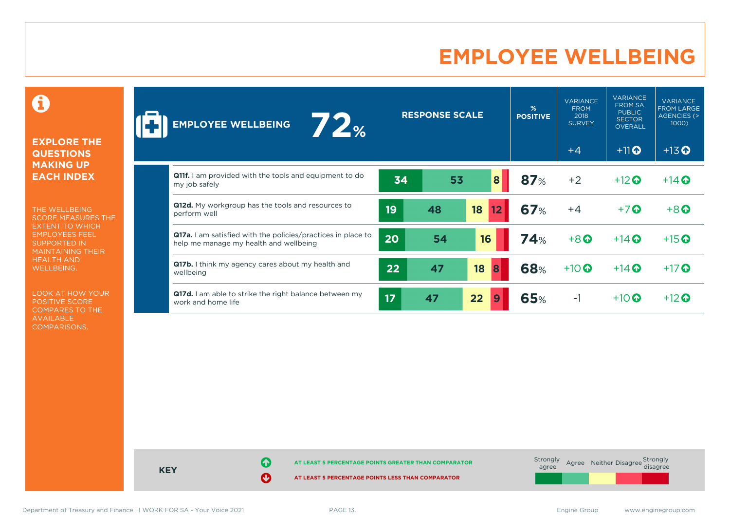### **EMPLOYEE WELLBEING**

0

#### **EXPLORE THE QUESTIONS MAKING UP EACH INDEX**

THE WELLBEING SCORE MEASURES THE EXTENT TO WHICH EMPLOYEES FEEL SUPPORTED IN MAINTAINING THEIR HEALTH AND WELLBEING.

LOOK AT HOW YOUR POSITIVE SCORE COMPARES TO THE AVAILABLE COMPARISONS.

| 12%<br><b>EMPLOYEE WELLBEING</b>                                                                              |    | <b>RESPONSE SCALE</b> |          |            | <b>VARIANCE</b><br><b>FROM</b><br>2018<br><b>SURVEY</b> | <b>VARIANCE</b><br><b>FROM SA</b><br><b>PUBLIC</b><br><b>SECTOR</b><br><b>OVERALL</b> | <b>VARIANCE</b><br><b>FROM LARGE</b><br>AGENCIES (><br>1000) |
|---------------------------------------------------------------------------------------------------------------|----|-----------------------|----------|------------|---------------------------------------------------------|---------------------------------------------------------------------------------------|--------------------------------------------------------------|
|                                                                                                               |    |                       |          |            | $+4$                                                    | $+11$ <sup>O</sup>                                                                    | $+13$ <sup>O</sup>                                           |
| <b>Q11f.</b> I am provided with the tools and equipment to do<br>my job safely                                | 34 | 53                    | 8        | 87%        | $+2$                                                    | $+12$ $\odot$                                                                         | $+14$ $\odot$                                                |
| Q12d. My workgroup has the tools and resources to<br>perform well                                             | 19 | 48                    | 18<br>12 | <b>67%</b> | $+4$                                                    | $+7$ $\odot$                                                                          | $+8$ <sup>O</sup>                                            |
| <b>Q17a.</b> I am satisfied with the policies/practices in place to<br>help me manage my health and wellbeing | 20 | 54                    | 16       | <b>74%</b> | $+8$                                                    | $+14$ $\odot$                                                                         | $+15$ <sup>O</sup>                                           |
| Q17b. I think my agency cares about my health and<br>wellbeing                                                | 22 | 47                    | 18<br>8  | <b>68%</b> | $+10$ $\odot$                                           | $+14$ $\odot$                                                                         | $+17$                                                        |
| Q17d. I am able to strike the right balance between my<br>work and home life                                  | 17 | 47                    | 22<br>9  | <b>65%</b> | $-1$                                                    | $+10$ $\odot$                                                                         | $+12$ $\odot$                                                |



Department of Treasury and Finance | I WORK FOR SA - Your Voice 2021 PAGE 13. PAGE 13. Engine Group www.enginegroup.com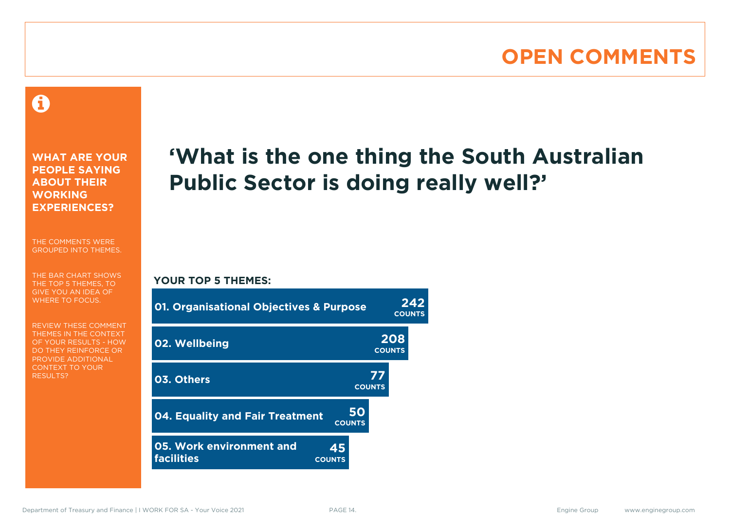### **OPEN COMMENTS**

### 0

**WHAT ARE YOUR PEOPLE SAYING ABOUT THEIR WORKING EXPERIENCES?**

THE COMMENTS WERE GROUPED INTO THEMES.

THE BAR CHART SHOWS THE TOP 5 THEMES, TO GIVE YOU AN IDEA OF WHERE TO FOCUS.

REVIEW THESE COMMENT THEMES IN THE CONTEXT OF YOUR RESULTS - HOW DO THEY REINFORCE OR PROVIDE ADDITIONAL CONTEXT TO YOUR **RESULTS?** 

# **'What is the one thing the South Australian Public Sector is doing really well?'**

#### **YOUR TOP 5 THEMES:**

| <b>01. Organisational Objectives &amp; Purpose</b>                   |                     | 242<br><b>COUNTS</b> |
|----------------------------------------------------------------------|---------------------|----------------------|
| 02. Wellbeing                                                        |                     | 208<br><b>COUNTS</b> |
| 03. Others                                                           | 77<br><b>COUNTS</b> |                      |
| <b>04. Equality and Fair Treatment</b><br><b>COUNTS</b>              | <b>50</b>           |                      |
| 05. Work environment and<br>45<br><b>facilities</b><br><b>COUNTS</b> |                     |                      |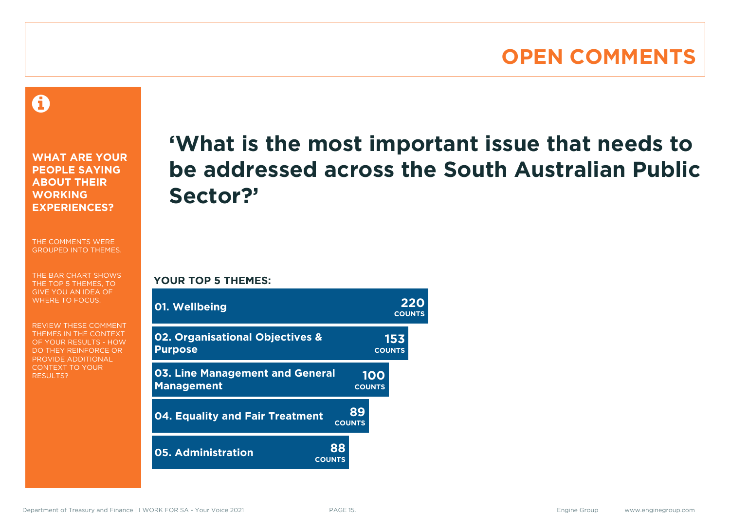### **OPEN COMMENTS**

A

**WHAT ARE YOUR PEOPLE SAYING ABOUT THEIR WORKING EXPERIENCES?**

THE COMMENTS WERE GROUPED INTO THEMES.

THE BAR CHART SHOWS THE TOP 5 THEMES, TO GIVE YOU AN IDEA OF WHERE TO FOCUS.

REVIEW THESE COMMENT THEMES IN THE CONTEXT OF YOUR RESULTS - HOW DO THEY REINFORCE OR PROVIDE ADDITIONAL CONTEXT TO YOUR **RESULTS?** 

# **'What is the most important issue that needs to be addressed across the South Australian Public Sector?'**

**COUNTS**

**YOUR TOP 5 THEMES:**

| 01. Wellbeing                                               |                     |                      | 220<br><b>COUNTS</b> |
|-------------------------------------------------------------|---------------------|----------------------|----------------------|
| 02. Organisational Objectives &<br><b>Purpose</b>           |                     | 153<br><b>COUNTS</b> |                      |
| <b>03. Line Management and General</b><br><b>Management</b> |                     | 100<br><b>COUNTS</b> |                      |
| 04. Equality and Fair Treatment                             | 89<br><b>COUNTS</b> |                      |                      |
| <b>05. Administration</b><br><b>COUNTS</b>                  | 88                  |                      |                      |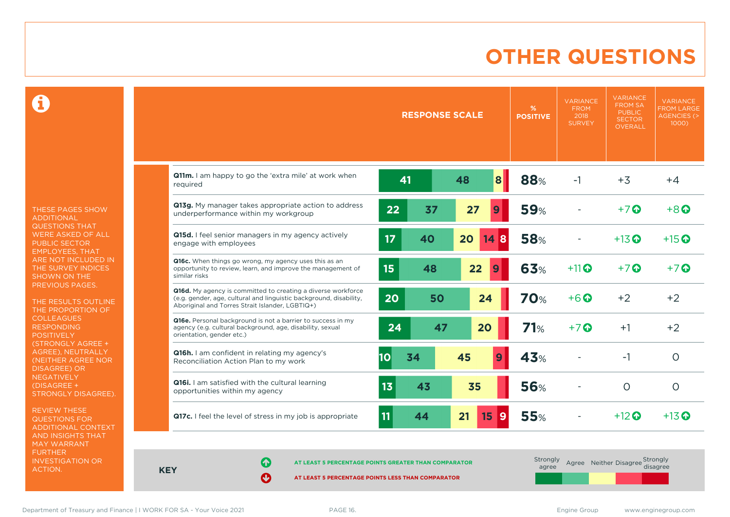### **OTHER QUESTIONS**

0

THESE PAGES SHOW ADDITIONAL QUESTIONS THAT WERE ASKED OF ALL PUBLIC SECTOR EMPLOYEES, THAT ARE NOT INCLUDED IN THE SURVEY INDICES SHOWN ON THE PREVIOUS PAGES.

THE RESULTS OUTLINE THE PROPORTION OF COLLEAGUES RESPONDING POSITIVELY (STRONGLY AGREE + AGREE), NEUTRALLY (NEITHER AGREE NOR DISAGREE) OR NEGATIVELY (DISAGREE + STRONGLY DISAGREE).

REVIEW THESE QUESTIONS FOR ADDITIONAL CONTEXT AND INSIGHTS THAT MAY WARRANT FURTHER INVESTIGATION OR ACTION.

|                                                                                                                                                                                       |          | <b>RESPONSE SCALE</b> |    |         | %<br><b>POSITIVE</b> | <b>VARIANCE</b><br><b>FROM</b><br>2018<br><b>SURVEY</b> | <b>VARIANCE</b><br><b>FROM SA</b><br><b>PUBLIC</b><br><b>SECTOR</b><br><b>OVERALL</b> | <b>VARIANCE</b><br><b>FROM LARGE</b><br><b>AGENCIES (&gt;</b><br>$1000$ ) |
|---------------------------------------------------------------------------------------------------------------------------------------------------------------------------------------|----------|-----------------------|----|---------|----------------------|---------------------------------------------------------|---------------------------------------------------------------------------------------|---------------------------------------------------------------------------|
| Q11m. I am happy to go the 'extra mile' at work when<br>required                                                                                                                      | 41       |                       | 48 | 8       | 88%                  | $-1$                                                    | $+3$                                                                                  | $+4$                                                                      |
| Q13g. My manager takes appropriate action to address<br>underperformance within my workgroup                                                                                          | 22       | 37                    | 27 | 9       | <b>59%</b>           |                                                         | $+7$ $\odot$                                                                          | $+8$ $\Omega$                                                             |
| Q15d. I feel senior managers in my agency actively<br>engage with employees                                                                                                           | 17       | 40                    | 20 | 148     | <b>58%</b>           |                                                         | $+13$ $\odot$                                                                         | $+15$ <sup>O</sup>                                                        |
| Q16c. When things go wrong, my agency uses this as an<br>opportunity to review, learn, and improve the management of<br>similar risks                                                 | 15       | 48                    | 22 | 9       | 63%                  | $+11$                                                   | $+7$ $\odot$                                                                          | $+7$ $\odot$                                                              |
| Q16d. My agency is committed to creating a diverse workforce<br>(e.g. gender, age, cultural and linguistic background, disability,<br>Aboriginal and Torres Strait Islander, LGBTIQ+) | 20       | 50                    | 24 |         | <b>70%</b>           | $+6$ $\odot$                                            | $+2$                                                                                  | $+2$                                                                      |
| Q16e. Personal background is not a barrier to success in my<br>agency (e.g. cultural background, age, disability, sexual<br>orientation, gender etc.)                                 | 24       | 47                    | 20 |         | 71%                  | $+7$ $\odot$                                            | $+1$                                                                                  | $+2$                                                                      |
| <b>Q16h.</b> I am confident in relating my agency's<br>Reconciliation Action Plan to my work                                                                                          | 10<br>34 |                       | 45 | 9       | 43%                  |                                                         | -1                                                                                    | $\circ$                                                                   |
| Q16i. I am satisfied with the cultural learning<br>opportunities within my agency                                                                                                     | 13       | 43                    | 35 |         | <b>56%</b>           |                                                         | $\circ$                                                                               | $\circ$                                                                   |
| Q17c. I feel the level of stress in my job is appropriate                                                                                                                             | 11       | 44                    | 21 | 15<br>9 | <b>55%</b>           |                                                         | $+12$ $\odot$                                                                         | $+13$ <sup>O</sup>                                                        |

**KEY**

**AT LEAST 5 PERCENTAGE POINTS GREATER THAN COMPARATOR**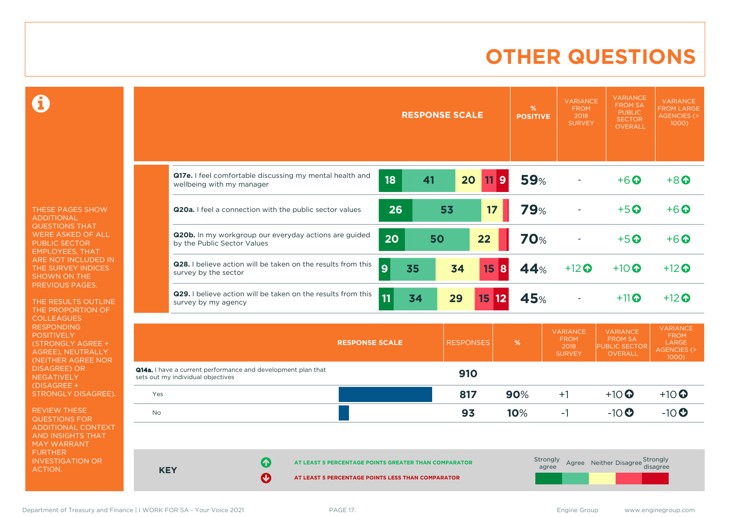### **OTHER QUESTIONS**

 $\mathbf \Omega$ 

THESE PAGES SHOW ADDITIONAL QUESTIONS THAT WERE ASKED OF ALL PUBLIC SECTOR EMPLOYEES, THAT ARE NOT INCLUDED IN THE SURVEY INDICES SHOWN ON THE PREVIOUS PAGES.

THE RESULTS OUTLINE THE PROPORTION OF COLLEAGUES RESPONDING **POSITIVELY** (STRONGLY AGREE + AGREE), NEUTRALLY (NEITHER AGREE NOR DISAGREE) OR NEGATIVELY (DISAGREE + STRONGLY DISAGREE).

REVIEW THESE QUESTIONS FOR ADDITIONAL CONTEXT AND INSIGHTS THAT MAY WARRANT FURTHER INVESTIGATION OR ACTION.

|           |                                                                                                                                                                                                   |          | <b>RESPONSE SCALE</b> |                      | %<br><b>POSITIVE</b> | <b>VARIANCE</b><br><b>FROM</b><br>2018<br><b>SURVEY</b> | <b>VARIANCE</b><br><b>FROM SA</b><br><b>PUBLIC</b><br><b>SECTOR</b><br><b>OVERALL</b> | <b>VARIANCE</b><br><b>FROM LARGE</b><br><b>AGENCIES (&gt;</b><br>1000)    |  |
|-----------|---------------------------------------------------------------------------------------------------------------------------------------------------------------------------------------------------|----------|-----------------------|----------------------|----------------------|---------------------------------------------------------|---------------------------------------------------------------------------------------|---------------------------------------------------------------------------|--|
|           | Q17e. I feel comfortable discussing my mental health and<br>wellbeing with my manager                                                                                                             | 18<br>41 | 20                    | 11<br>$\overline{9}$ | <b>59%</b>           |                                                         | $+6$ <sup><math>\odot</math></sup>                                                    | $+8$ <sup>O</sup>                                                         |  |
|           | Q20a. I feel a connection with the public sector values                                                                                                                                           | 26       | 53                    | 17                   | <b>79%</b>           |                                                         | $+5$ <sup><math>\odot</math></sup>                                                    | $+6$ $\Omega$                                                             |  |
|           | Q20b. In my workgroup our everyday actions are guided<br>by the Public Sector Values                                                                                                              | 20       | 50                    | 22                   | <b>70%</b>           |                                                         | $+5$ <sup>O</sup>                                                                     | $+6$ $\odot$                                                              |  |
|           | Q28. I believe action will be taken on the results from this<br>$\boldsymbol{9}$<br>survey by the sector                                                                                          | 35       | 34                    | 15<br><b>8</b>       | 44%                  | $+12$ $\odot$                                           | $+10$ $\odot$                                                                         | $+12$ <sup>O</sup>                                                        |  |
|           | Q29. I believe action will be taken on the results from this<br>survey by my agency                                                                                                               | 11<br>34 | 29                    | 1512                 | 45%                  |                                                         | $+11$ <sup>O</sup>                                                                    | $+12$ $\odot$                                                             |  |
|           | <b>RESPONSE SCALE</b>                                                                                                                                                                             |          | <b>RESPONSES</b>      |                      | %                    | <b>VARIANCE</b><br><b>FROM</b><br>2018<br><b>SURVEY</b> | <b>VARIANCE</b><br><b>FROM SA</b><br>PUBLIC SECTOR<br><b>OVERALL</b>                  | <b>VARIANCE</b><br><b>FROM</b><br>LARGE<br><b>AGENCIES (&gt;</b><br>1000) |  |
|           | <b>Q14a.</b> I have a current performance and development plan that<br>sets out my individual objectives                                                                                          |          | 910                   |                      |                      |                                                         |                                                                                       |                                                                           |  |
| Yes       |                                                                                                                                                                                                   |          | 817                   |                      | 90%                  | $+1$                                                    | $+10$ <sup>O</sup>                                                                    | $+10$                                                                     |  |
| <b>No</b> |                                                                                                                                                                                                   |          | 93                    |                      | 10%                  | $-1$                                                    | $-10$                                                                                 | $-10$                                                                     |  |
|           | Strongly<br>Agree Neither Disagree Strongly<br>41<br>AT LEAST 5 PERCENTAGE POINTS GREATER THAN COMPARATOR<br>disagree<br>agree<br><b>KEY</b><br>AT LEAST 5 PERCENTAGE POINTS LESS THAN COMPARATOR |          |                       |                      |                      |                                                         |                                                                                       |                                                                           |  |

Department of Treasury and Finance | I WORK FOR SA - Your Voice 2021 PAGE 17. The Same Communication of Treasury and Finance | I WORK FOR SA - Your Voice 2021 PAGE 17.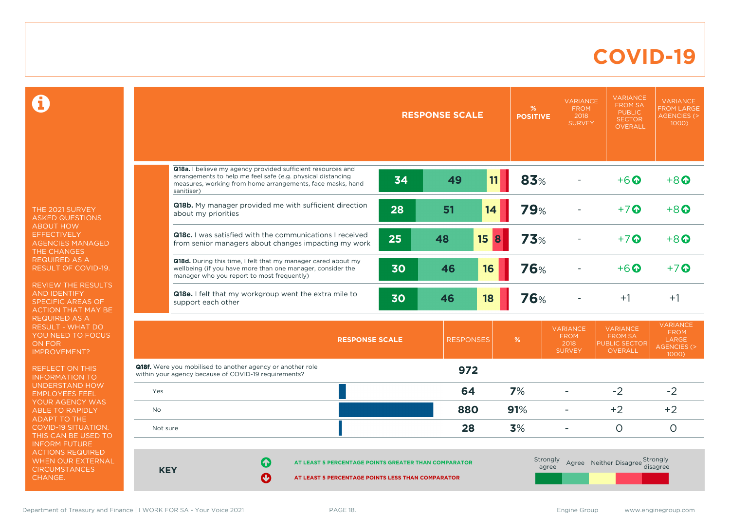### **COVID-19**

 $\mathbf \Omega$ 

THE 2021 SURVEY ASKED QUESTIONS ABOUT HOW **EFFECTIVELY** AGENCIES MANAGED THE CHANGES REQUIRED AS A RESULT OF COVID-19.

REVIEW THE RESULTS AND IDENTIFY SPECIFIC AREAS OF ACTION THAT MAY BE REQUIRED AS A RESULT - WHAT DO YOU NEED TO FOCUS ON FOR IMPROVEMENT?

REFLECT ON THIS INFORMATION TO UNDERSTAND HOW EMPLOYEES FEEL YOUR AGENCY WAS ABLE TO RAPIDLY ADAPT TO THE COVID-19 SITUATION. THIS CAN BE USED TO INFORM FUTURE ACTIONS REQUIRED WHEN OUR EXTERNAL **CIRCUMSTANCES** CHANGE.

|                                                                                                                                                                                                                                                   |                                                                                                                                                                                                        | <b>RESPONSE SCALE</b> |                  | %<br><b>POSITIVE</b> | <b>VARIANCE</b><br><b>FROM</b><br>2018<br><b>SURVEY</b> | <b>VARIANCE</b><br><b>FROM SA</b><br><b>PUBLIC</b><br><b>SECTOR</b><br><b>OVERALL</b> | <b>VARIANCE</b><br><b>FROM LARGE</b><br><b>AGENCIES (&gt;</b><br>1000) |                                                                           |
|---------------------------------------------------------------------------------------------------------------------------------------------------------------------------------------------------------------------------------------------------|--------------------------------------------------------------------------------------------------------------------------------------------------------------------------------------------------------|-----------------------|------------------|----------------------|---------------------------------------------------------|---------------------------------------------------------------------------------------|------------------------------------------------------------------------|---------------------------------------------------------------------------|
|                                                                                                                                                                                                                                                   |                                                                                                                                                                                                        |                       |                  |                      |                                                         |                                                                                       |                                                                        |                                                                           |
|                                                                                                                                                                                                                                                   | Q18a. I believe my agency provided sufficient resources and<br>arrangements to help me feel safe (e.g. physical distancing<br>measures, working from home arrangements, face masks, hand<br>sanitiser) | 34                    | 49               | 11                   | 83%                                                     |                                                                                       | $+6$ <sup><math>\odot</math></sup>                                     | $+8$ $\odot$                                                              |
|                                                                                                                                                                                                                                                   | Q18b. My manager provided me with sufficient direction<br>about my priorities                                                                                                                          | 28                    | 51               | 14                   | <b>79%</b>                                              |                                                                                       | $+7$ $\odot$                                                           | $+8$ $\Omega$                                                             |
|                                                                                                                                                                                                                                                   | Q18c. I was satisfied with the communications I received<br>from senior managers about changes impacting my work                                                                                       | 25                    | 48               | 15<br>8              | 73%                                                     |                                                                                       | $+7$ <sup><math>\odot</math></sup>                                     | $+8$                                                                      |
|                                                                                                                                                                                                                                                   | Q18d. During this time, I felt that my manager cared about my<br>wellbeing (if you have more than one manager, consider the<br>manager who you report to most frequently)                              | 30                    | 46               | 16                   | <b>76%</b>                                              |                                                                                       | $+6$ $\odot$                                                           | $+7$ $\odot$                                                              |
|                                                                                                                                                                                                                                                   | Q18e. I felt that my workgroup went the extra mile to<br>support each other                                                                                                                            | 30                    | 46               | 18                   | <b>76%</b>                                              |                                                                                       | $+1$                                                                   | $+1$                                                                      |
|                                                                                                                                                                                                                                                   |                                                                                                                                                                                                        | <b>RESPONSE SCALE</b> | <b>RESPONSES</b> |                      | %                                                       | <b>VARIANCE</b><br><b>FROM</b><br>2018<br><b>SURVEY</b>                               | <b>VARIANCE</b><br><b>FROM SA</b><br><b>PUBLIC SECTOR</b><br>OVERALL   | <b>VARIANCE</b><br><b>FROM</b><br>LARGE<br><b>AGENCIES (&gt;</b><br>1000) |
|                                                                                                                                                                                                                                                   | <b>Q18f.</b> Were you mobilised to another agency or another role<br>within your agency because of COVID-19 requirements?                                                                              |                       | 972              |                      |                                                         |                                                                                       |                                                                        |                                                                           |
| Yes                                                                                                                                                                                                                                               |                                                                                                                                                                                                        |                       | 64               |                      | 7%                                                      | $\blacksquare$                                                                        | $-2$                                                                   | $-2$                                                                      |
| <b>No</b>                                                                                                                                                                                                                                         |                                                                                                                                                                                                        |                       | 880              |                      | 91%                                                     | ۰                                                                                     | $+2$                                                                   | $+2$                                                                      |
| Not sure                                                                                                                                                                                                                                          |                                                                                                                                                                                                        |                       | 28               |                      | 3%                                                      | $\sim$                                                                                | $\circ$                                                                | $\circ$                                                                   |
| Strongly<br>Agree Neither Disagree Strongly<br>$\left  \right. \left\langle \right. \right $<br>AT LEAST 5 PERCENTAGE POINTS GREATER THAN COMPARATOR<br>disagree<br>agree<br><b>KEY</b><br>Ф<br>AT LEAST 5 PERCENTAGE POINTS LESS THAN COMPARATOR |                                                                                                                                                                                                        |                       |                  |                      |                                                         |                                                                                       |                                                                        |                                                                           |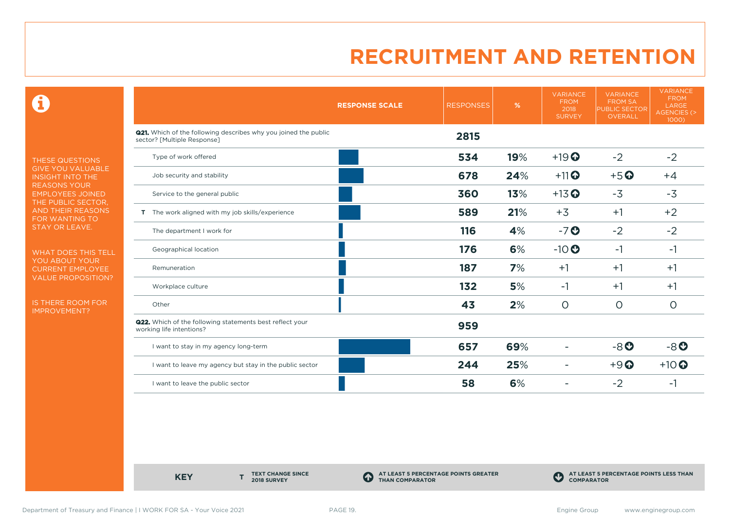0

THESE QUESTIONS GIVE YOU VALUABLE INSIGHT INTO THE REASONS YOUR EMPLOYEES JOINED THE PUBLIC SECTOR, AND THEIR REASONS FOR WANTING TO STAY OR LEAVE.

WHAT DOES THIS TELL YOU ABOUT YOUR CURRENT EMPLOYEE VALUE PROPOSITION?

IS THERE ROOM FOR IMPROVEMENT?

|                                                                                                       | <b>RESPONSE SCALE</b> | <b>RESPONSES</b> | %   | <b>VARIANCE</b><br><b>FROM</b><br>2018<br><b>SURVEY</b> | <b>VARIANCE</b><br><b>FROM SA</b><br><b>PUBLIC SECTOR</b><br>OVERALL | <b>VARIANCE</b><br><b>FROM</b><br>LARGE<br><b>AGENCIES (&gt;</b><br>$1000$ ) |
|-------------------------------------------------------------------------------------------------------|-----------------------|------------------|-----|---------------------------------------------------------|----------------------------------------------------------------------|------------------------------------------------------------------------------|
| <b>Q21.</b> Which of the following describes why you joined the public<br>sector? [Multiple Response] |                       | 2815             |     |                                                         |                                                                      |                                                                              |
| Type of work offered                                                                                  |                       | 534              | 19% | $+19$ <sup>O</sup>                                      | $-2$                                                                 | $-2$                                                                         |
| Job security and stability                                                                            |                       | 678              | 24% | $+11$ <sup>O</sup>                                      | $+5$ <sup>O</sup>                                                    | $+4$                                                                         |
| Service to the general public                                                                         |                       | 360              | 13% | $+13$ <sup>O</sup>                                      | $-3$                                                                 | $-3$                                                                         |
| T The work aligned with my job skills/experience                                                      |                       | 589              | 21% | $+3$                                                    | $+1$                                                                 | $+2$                                                                         |
| The department I work for                                                                             |                       | 116              | 4%  | $-7o$                                                   | $-2$                                                                 | $-2$                                                                         |
| Geographical location                                                                                 |                       | 176              | 6%  | $-10$                                                   | $-1$                                                                 | $-1$                                                                         |
| Remuneration                                                                                          |                       | 187              | 7%  | $+1$                                                    | $+1$                                                                 | $+1$                                                                         |
| Workplace culture                                                                                     |                       | 132              | 5%  | -1                                                      | $+1$                                                                 | $+1$                                                                         |
| Other                                                                                                 |                       | 43               | 2%  | $\circ$                                                 | $\circ$                                                              | $\circ$                                                                      |
| <b>Q22.</b> Which of the following statements best reflect your<br>working life intentions?           |                       | 959              |     |                                                         |                                                                      |                                                                              |
| I want to stay in my agency long-term                                                                 |                       | 657              | 69% |                                                         | $-8o$                                                                | $-8o$                                                                        |
| I want to leave my agency but stay in the public sector                                               |                       | 244              | 25% |                                                         | $+9$ <sup><math>\odot</math></sup>                                   | $+10$                                                                        |
| I want to leave the public sector                                                                     |                       | 58               | 6%  |                                                         | $-2$                                                                 | -1                                                                           |

**KEY** 

**TEXT CHANGE SINCE 2018 SURVEY**

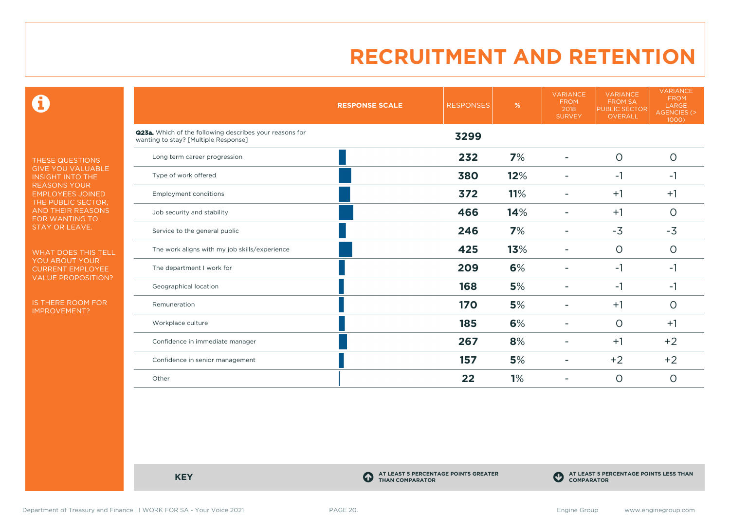0

THESE QUESTIONS GIVE YOU VALUABLE INSIGHT INTO THE REASONS YOUR EMPLOYEES JOINED THE PUBLIC SECTOR, AND THEIR REASONS FOR WANTING TO STAY OR LEAVE.

WHAT DOES THIS TELL YOU ABOUT YOUR CURRENT EMPLOYEE VALUE PROPOSITION?

IS THERE ROOM FOR IMPROVEMENT?

|                                                                                                        | <b>RESPONSE SCALE</b> | <b>RESPONSES</b> | %   | <b>VARIANCE</b><br><b>FROM</b><br>2018<br><b>SURVEY</b> | <b>VARIANCE</b><br><b>FROM SA</b><br><b>PUBLIC SECTOR</b><br><b>OVERALL</b> | <b>VARIANCE</b><br><b>FROM</b><br>LARGE<br>AGENCIES (><br>1000) |
|--------------------------------------------------------------------------------------------------------|-----------------------|------------------|-----|---------------------------------------------------------|-----------------------------------------------------------------------------|-----------------------------------------------------------------|
| <b>Q23a.</b> Which of the following describes your reasons for<br>wanting to stay? [Multiple Response] |                       | 3299             |     |                                                         |                                                                             |                                                                 |
| Long term career progression                                                                           |                       | 232              | 7%  |                                                         | $\circ$                                                                     | $\circ$                                                         |
| Type of work offered                                                                                   |                       | 380              | 12% |                                                         | $-1$                                                                        | $-1$                                                            |
| <b>Employment conditions</b>                                                                           |                       | 372              | 11% | ۰                                                       | $+1$                                                                        | $+1$                                                            |
| Job security and stability                                                                             |                       | 466              | 14% |                                                         | $+1$                                                                        | $\circ$                                                         |
| Service to the general public                                                                          |                       | 246              | 7%  |                                                         | $-3$                                                                        | $-3$                                                            |
| The work aligns with my job skills/experience                                                          |                       | 425              | 13% |                                                         | $\circ$                                                                     | $\circ$                                                         |
| The department I work for                                                                              |                       | 209              | 6%  |                                                         | $-1$                                                                        | $-1$                                                            |
| Geographical location                                                                                  |                       | 168              | 5%  |                                                         | $-1$                                                                        | $-1$                                                            |
| Remuneration                                                                                           |                       | <b>170</b>       | 5%  |                                                         | $+1$                                                                        | $\circ$                                                         |
| Workplace culture                                                                                      |                       | 185              | 6%  |                                                         | $\circ$                                                                     | $+1$                                                            |
| Confidence in immediate manager                                                                        |                       | 267              | 8%  |                                                         | $+1$                                                                        | $+2$                                                            |
| Confidence in senior management                                                                        |                       | 157              | 5%  |                                                         | $+2$                                                                        | $+2$                                                            |
| Other                                                                                                  |                       | 22               | 1%  |                                                         | $\circ$                                                                     | $\circ$                                                         |

**KEY C** 

**AT LEAST 5 PERCENTAGE POINTS GREATER THAN COMPARATOR**



Department of Treasury and Finance | I WORK FOR SA - Your Voice 2021 PAGE 20. Security and Engine Group www.enginegroup.com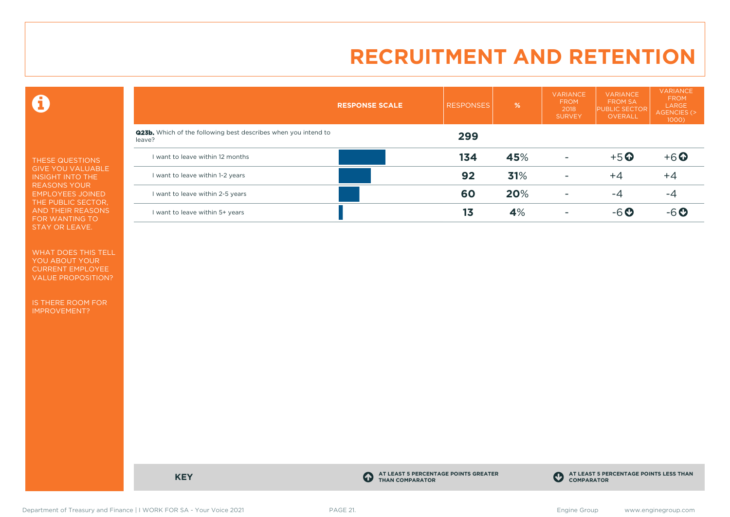0

THESE QUESTIONS GIVE YOU VALUABLE INSIGHT INTO THE REASONS YOUR EMPLOYEES JOINED THE PUBLIC SECTOR, AND THEIR REASONS FOR WANTING TO STAY OR LEAVE.

WHAT DOES THIS TELL YOU ABOUT YOUR CURRENT EMPLOYEE VALUE PROPOSITION?

IS THERE ROOM FOR IMPROVEMENT?

|                                                                                 | <b>RESPONSE SCALE</b> | <b>RESPONSES</b> | %   | <b>VARIANCE</b><br><b>FROM</b><br>2018<br><b>SURVEY</b> | <b>VARIANCE</b><br><b>FROM SA</b><br><b>PUBLIC SECTOR</b><br><b>OVERALL</b> | <b>VARIANCE</b><br><b>FROM</b><br>LARGE<br>AGENCIES (><br>1000) |
|---------------------------------------------------------------------------------|-----------------------|------------------|-----|---------------------------------------------------------|-----------------------------------------------------------------------------|-----------------------------------------------------------------|
| <b>Q23b.</b> Which of the following best describes when you intend to<br>leave? |                       | 299              |     |                                                         |                                                                             |                                                                 |
| I want to leave within 12 months                                                |                       | 134              | 45% | $\overline{\phantom{a}}$                                | $+5$ <sup>O</sup>                                                           | $+6$ <sup>O</sup>                                               |
| I want to leave within 1-2 years                                                |                       | 92               | 31% | ٠                                                       | $+4$                                                                        | $+4$                                                            |
| I want to leave within 2-5 years                                                |                       | 60               | 20% |                                                         | -4                                                                          | -4                                                              |
| I want to leave within 5+ years                                                 |                       | 13               | 4%  |                                                         | $-6o$                                                                       | -6 Q                                                            |

**KEY C** 

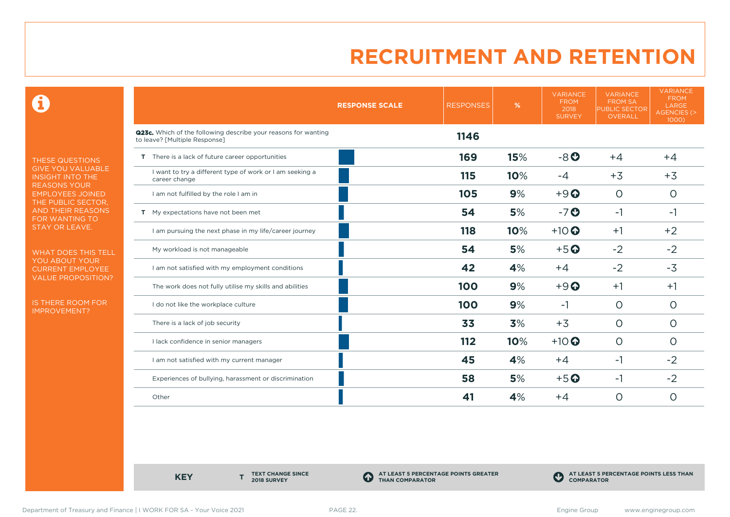0

THESE QUESTIONS GIVE YOU VALUABLE INSIGHT INTO THE REASONS YOUR EMPLOYEES JOINED THE PUBLIC SECTOR, AND THEIR REASONS FOR WANTING TO STAY OR LEAVE.

WHAT DOES THIS TELL YOU ABOUT YOUR CURRENT EMPLOYEE VALUE PROPOSITION?

IS THERE ROOM FOR IMPROVEMENT?

|                                                                                                 | <b>RESPONSE SCALE</b> | <b>RESPONSES</b> | %   | <b>VARIANCE</b><br><b>FROM</b><br>2018<br><b>SURVEY</b> | <b>VARIANCE</b><br><b>FROM SA</b><br><b>PUBLIC SECTOR</b><br>OVERALL | <b>VARIANCE</b><br><b>FROM</b><br>LARGE<br>AGENCIES (><br>1000) |
|-------------------------------------------------------------------------------------------------|-----------------------|------------------|-----|---------------------------------------------------------|----------------------------------------------------------------------|-----------------------------------------------------------------|
| Q23c. Which of the following describe your reasons for wanting<br>to leave? [Multiple Response] |                       | 1146             |     |                                                         |                                                                      |                                                                 |
| T There is a lack of future career opportunities                                                |                       | 169              | 15% | $-8o$                                                   | $+4$                                                                 | $+4$                                                            |
| I want to try a different type of work or I am seeking a<br>career change                       |                       | 115              | 10% | $-4$                                                    | $+3$                                                                 | $+3$                                                            |
| I am not fulfilled by the role I am in                                                          |                       | 105              | 9%  | $+9$ <sup><math>\odot</math></sup>                      | $\overline{O}$                                                       | $\circ$                                                         |
| T My expectations have not been met                                                             |                       | 54               | 5%  | $-7o$                                                   | $-1$                                                                 | -1                                                              |
| I am pursuing the next phase in my life/career journey                                          |                       | 118              | 10% | $+10$                                                   | $+1$                                                                 | $+2$                                                            |
| My workload is not manageable                                                                   |                       | 54               | 5%  | $+5$ <sup>O</sup>                                       | $-2$                                                                 | $-2$                                                            |
| I am not satisfied with my employment conditions                                                |                       | 42               | 4%  | $+4$                                                    | $-2$                                                                 | $-3$                                                            |
| The work does not fully utilise my skills and abilities                                         |                       | 100              | 9%  | $+9$ <sup><math>\odot</math></sup>                      | $+1$                                                                 | $+1$                                                            |
| I do not like the workplace culture                                                             |                       | 100              | 9%  | $-1$                                                    | $\circ$                                                              | $\Omega$                                                        |
| There is a lack of job security                                                                 |                       | 33               | 3%  | $+3$                                                    | $\circ$                                                              | $\circ$                                                         |
| I lack confidence in senior managers                                                            |                       | 112              | 10% | $+10$ <sup>O</sup>                                      | $\circ$                                                              | $\circ$                                                         |
| I am not satisfied with my current manager                                                      |                       | 45               | 4%  | $+4$                                                    | -1                                                                   | $-2$                                                            |
| Experiences of bullying, harassment or discrimination                                           |                       | 58               | 5%  | $+5$ <sup>O</sup>                                       | -1                                                                   | $-2$                                                            |
| Other                                                                                           |                       | 41               | 4%  | $+4$                                                    | 0                                                                    | $\circ$                                                         |

**KEY** 

**TEXT CHANGE SINCE 2018 SURVEY**

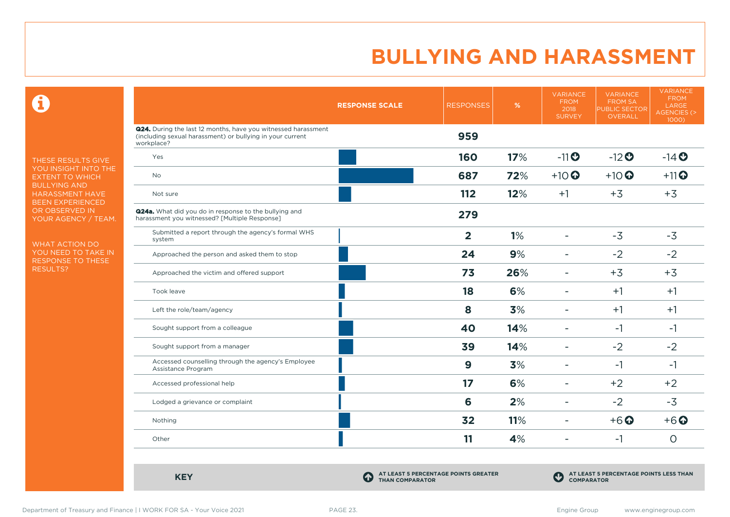$\mathbf \Omega$ 

THESE RESULTS GIVE YOU INSIGHT INTO THE EXTENT TO WHICH BULLYING AND HARASSMENT HAVE BEEN EXPERIENCED OR OBSERVED IN YOUR AGENCY / TEAM.

WHAT ACTION DO YOU NEED TO TAKE IN RESPONSE TO THESE RESULTS?

|                                                                                                                                                 | <b>RESPONSE SCALE</b> | <b>RESPONSES</b> | %   | <b>VARIANCE</b><br><b>FROM</b><br>2018<br><b>SURVEY</b> | <b>VARIANCE</b><br><b>FROM SA</b><br>PUBLIC SECTOR<br>OVERALL | <b>VARIANCE</b><br><b>FROM</b><br>LARGE<br><b>AGENCIES (&gt;</b><br>1000) |
|-------------------------------------------------------------------------------------------------------------------------------------------------|-----------------------|------------------|-----|---------------------------------------------------------|---------------------------------------------------------------|---------------------------------------------------------------------------|
| <b>Q24.</b> During the last 12 months, have you witnessed harassment<br>(including sexual harassment) or bullying in your current<br>workplace? |                       | 959              |     |                                                         |                                                               |                                                                           |
| Yes                                                                                                                                             |                       | 160              | 17% | $-11$ <sup>O</sup>                                      | $-12$ <sup>O</sup>                                            | $-14$ <sup>O</sup>                                                        |
| <b>No</b>                                                                                                                                       |                       | 687              | 72% | $+10$ <sup>O</sup>                                      | $+10$ <sup>O</sup>                                            | $+11$ <sup>O</sup>                                                        |
| Not sure                                                                                                                                        |                       | 112              | 12% | $+1$                                                    | $+3$                                                          | $+3$                                                                      |
| <b>Q24a.</b> What did you do in response to the bullying and<br>harassment you witnessed? [Multiple Response]                                   |                       | 279              |     |                                                         |                                                               |                                                                           |
| Submitted a report through the agency's formal WHS<br>system                                                                                    |                       | $\overline{2}$   | 1%  | $\overline{\phantom{a}}$                                | $-3$                                                          | $-3$                                                                      |
| Approached the person and asked them to stop                                                                                                    |                       | 24               | 9%  | $\overline{\phantom{a}}$                                | $-2$                                                          | $-2$                                                                      |
| Approached the victim and offered support                                                                                                       |                       | 73               | 26% | $\sim$                                                  | $+3$                                                          | $+3$                                                                      |
| Took leave                                                                                                                                      |                       | 18               | 6%  | $\overline{\phantom{a}}$                                | $+1$                                                          | $+1$                                                                      |
| Left the role/team/agency                                                                                                                       |                       | 8                | 3%  | Ξ.                                                      | $+1$                                                          | $+1$                                                                      |
| Sought support from a colleague                                                                                                                 |                       | 40               | 14% | $\blacksquare$                                          | $-1$                                                          | $-1$                                                                      |
| Sought support from a manager                                                                                                                   |                       | 39               | 14% | $\overline{\phantom{0}}$                                | $-2$                                                          | $-2$                                                                      |
| Accessed counselling through the agency's Employee<br>Assistance Program                                                                        |                       | $\mathbf{9}$     | 3%  | $\blacksquare$                                          | $-1$                                                          | $-1$                                                                      |
| Accessed professional help                                                                                                                      |                       | 17               | 6%  | $\overline{\phantom{a}}$                                | $+2$                                                          | $+2$                                                                      |
| Lodged a grievance or complaint                                                                                                                 |                       | 6                | 2%  | $\overline{\phantom{a}}$                                | $-2$                                                          | $-3$                                                                      |
| Nothing                                                                                                                                         |                       | 32               | 11% | $\overline{\phantom{a}}$                                | $+6$ <sup>O</sup>                                             | $+6$ $\odot$                                                              |
| Other                                                                                                                                           |                       | 11               | 4%  | $\blacksquare$                                          | $-1$                                                          | $\circ$                                                                   |

**KEY C** 

**AT LEAST 5 PERCENTAGE POINTS GREATER THAN COMPARATOR**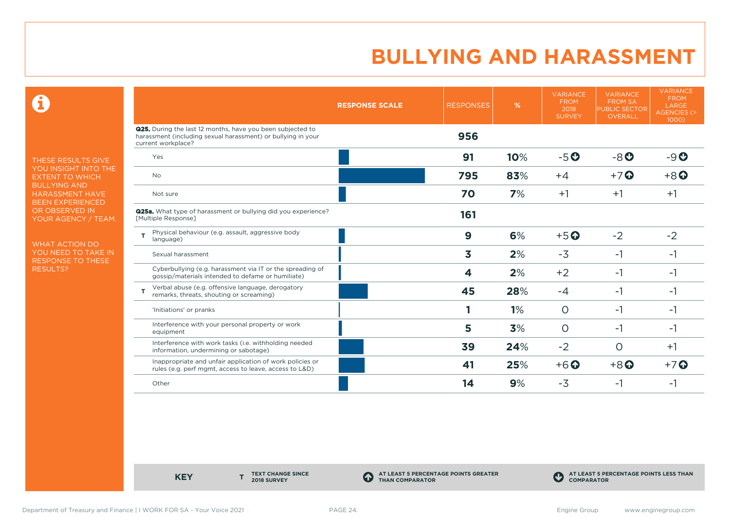0

THESE RESULTS GIVE YOU INSIGHT INTO THE EXTENT TO WHICH BULLYING AND HARASSMENT HAVE BEEN EXPERIENCED OR OBSERVED IN YOUR AGENCY / TEAM.

WHAT ACTION DO YOU NEED TO TAKE IN RESPONSE TO THESE RESULTS?

|                                                                                                                                                         | <b>RESPONSE SCALE</b> | <b>RESPONSES</b> | %   | <b>VARIANCE</b><br><b>FROM</b><br>2018<br><b>SURVEY</b> | <b>VARIANCE</b><br><b>FROM SA</b><br><b>PUBLIC SECTOR</b><br>OVERALL | <b>VARIANCE</b><br><b>FROM</b><br>LARGE<br><b>AGENCIES (&gt;</b><br>1000) |
|---------------------------------------------------------------------------------------------------------------------------------------------------------|-----------------------|------------------|-----|---------------------------------------------------------|----------------------------------------------------------------------|---------------------------------------------------------------------------|
| <b>Q25.</b> During the last 12 months, have you been subjected to<br>harassment (including sexual harassment) or bullying in your<br>current workplace? |                       | 956              |     |                                                         |                                                                      |                                                                           |
| Yes                                                                                                                                                     |                       | 91               | 10% | $-5o$                                                   | $-8o$                                                                | $-9o$                                                                     |
| <b>No</b>                                                                                                                                               |                       | 795              | 83% | $+4$                                                    | $+7$ $\odot$                                                         | $+8$ <sup>O</sup>                                                         |
| Not sure                                                                                                                                                |                       | 70               | 7%  | $+1$                                                    | $+1$                                                                 | $+1$                                                                      |
| <b>Q25a.</b> What type of harassment or bullying did you experience?<br>[Multiple Response]                                                             |                       | 161              |     |                                                         |                                                                      |                                                                           |
| Physical behaviour (e.g. assault, aggressive body<br>т<br>language)                                                                                     |                       | 9                | 6%  | $+5$ <sup>O</sup>                                       | $-2$                                                                 | $-2$                                                                      |
| Sexual harassment                                                                                                                                       |                       | 3                | 2%  | $-3$                                                    | $-1$                                                                 | $-1$                                                                      |
| Cyberbullying (e.g. harassment via IT or the spreading of<br>gossip/materials intended to defame or humiliate)                                          |                       | 4                | 2%  | $+2$                                                    | $-1$                                                                 | -1                                                                        |
| Verbal abuse (e.g. offensive language, derogatory<br>т<br>remarks, threats, shouting or screaming)                                                      |                       | 45               | 28% | $-4$                                                    | $-1$                                                                 | -1                                                                        |
| 'Initiations' or pranks                                                                                                                                 |                       |                  | 1%  | $\circ$                                                 | $-1$                                                                 | -1                                                                        |
| Interference with your personal property or work<br>equipment                                                                                           |                       | 5                | 3%  | $\circ$                                                 | $-1$                                                                 | -1                                                                        |
| Interference with work tasks (i.e. withholding needed<br>information, undermining or sabotage)                                                          |                       | 39               | 24% | $-2$                                                    | $\Omega$                                                             | $+1$                                                                      |
| Inappropriate and unfair application of work policies or<br>rules (e.g. perf mgmt, access to leave, access to L&D)                                      |                       | 41               | 25% | $+6$ <sup>O</sup>                                       | $+8$ <sup><math>\odot</math></sup>                                   | $+7$ $\odot$                                                              |
| Other                                                                                                                                                   |                       | 14               | 9%  | $-3$                                                    | -1                                                                   | -1                                                                        |

**KEY** 

**TEXT CHANGE SINCE 2018 SURVEY**

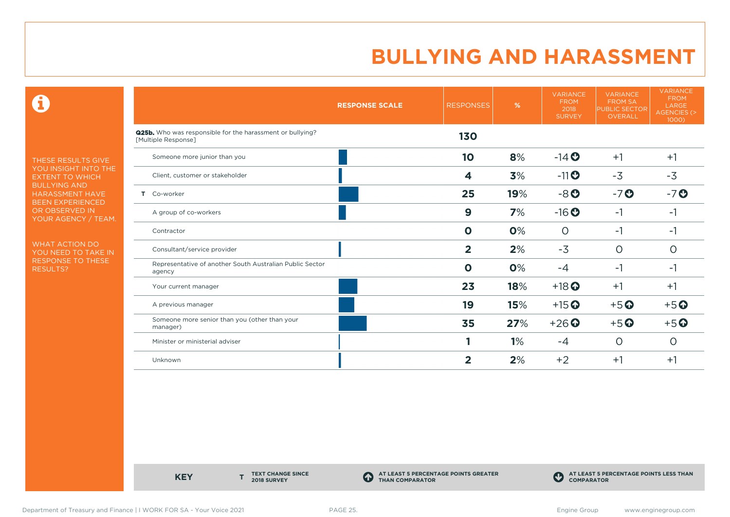0

THESE RESULTS GIVE YOU INSIGHT INTO THE EXTENT TO WHICH BULLYING AND HARASSMENT HAVE BEEN EXPERIENCED OR OBSERVED IN YOUR AGENCY / TEAM.

WHAT ACTION DO YOU NEED TO TAKE IN RESPONSE TO THESE RESULTS?

|                                                                                  | <b>RESPONSE SCALE</b> | <b>RESPONSES</b>        | $\%$ | <b>VARIANCE</b><br><b>FROM</b><br>2018<br><b>SURVEY</b> | <b>VARIANCE</b><br><b>FROM SA</b><br><b>PUBLIC SECTOR</b><br><b>OVERALL</b> | <b>VARIANCE</b><br><b>FROM</b><br>LARGE<br><b>AGENCIES (&gt;</b><br>1000) |
|----------------------------------------------------------------------------------|-----------------------|-------------------------|------|---------------------------------------------------------|-----------------------------------------------------------------------------|---------------------------------------------------------------------------|
| Q25b. Who was responsible for the harassment or bullying?<br>[Multiple Response] |                       | 130                     |      |                                                         |                                                                             |                                                                           |
| Someone more junior than you                                                     |                       | 10                      | 8%   | $-14$ <b>O</b>                                          | $+1$                                                                        | $+1$                                                                      |
| Client, customer or stakeholder                                                  |                       | 4                       | 3%   | $-11$ $\odot$                                           | $-3$                                                                        | $-3$                                                                      |
| Co-worker<br>Τ.                                                                  |                       | 25                      | 19%  | $-8o$                                                   | $-7o$                                                                       | $-7o$                                                                     |
| A group of co-workers                                                            |                       | 9                       | 7%   | $-16o$                                                  | $-1$                                                                        | -1                                                                        |
| Contractor                                                                       |                       | $\mathbf{o}$            | 0%   | $\circ$                                                 | $-1$                                                                        | -1                                                                        |
| Consultant/service provider                                                      |                       | $\overline{\mathbf{2}}$ | 2%   | $-3$                                                    | O                                                                           | 0                                                                         |
| Representative of another South Australian Public Sector<br>agency               |                       | $\mathbf 0$             | 0%   | $-4$                                                    | $-1$                                                                        | $-1$                                                                      |
| Your current manager                                                             |                       | 23                      | 18%  | $+18$ <sup>O</sup>                                      | $+1$                                                                        | $+1$                                                                      |
| A previous manager                                                               |                       | 19                      | 15%  | $+15$ <sup>O</sup>                                      | $+5$ <sup>O</sup>                                                           | $+5$ <sup>O</sup>                                                         |
| Someone more senior than you (other than your<br>manager)                        |                       | 35                      | 27%  | $+26$ <sup>O</sup>                                      | $+5$ <sup>O</sup>                                                           | $+5$ <sup>O</sup>                                                         |
| Minister or ministerial adviser                                                  |                       |                         | 1%   | -4                                                      | $\circ$                                                                     | $\circ$                                                                   |
| Unknown                                                                          |                       | $\mathbf{2}$            | 2%   | $+2$                                                    | $+1$                                                                        | $+1$                                                                      |

**KEY** 

**TEXT CHANGE SINCE 2018 SURVEY**

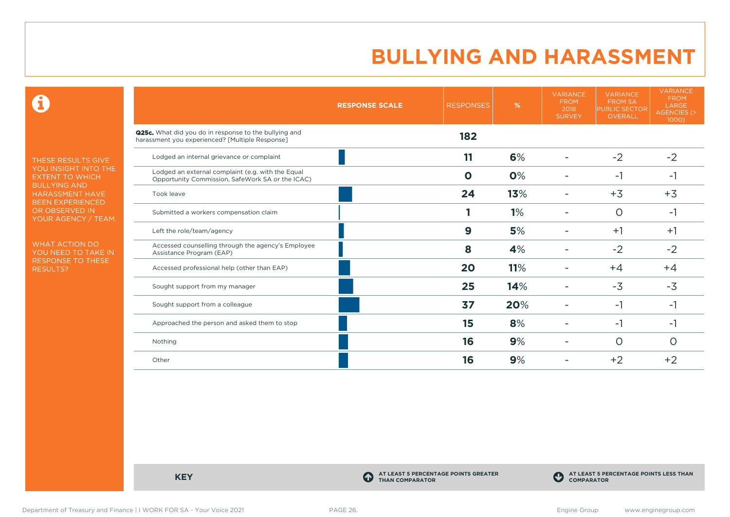0

THESE RESULTS GIVE YOU INSIGHT INTO THE EXTENT TO WHICH BULLYING AND HARASSMENT HAVE BEEN EXPERIENCED OR OBSERVED IN YOUR AGENCY / TEAM.

WHAT ACTION DO YOU NEED TO TAKE IN RESPONSE TO THESE RESULTS?

|                                                                                                                 | <b>RESPONSE SCALE</b> | <b>RESPONSES</b> | $\%$ | <b>VARIANCE</b><br><b>FROM</b><br>2018<br><b>SURVEY</b> | <b>VARIANCE</b><br><b>FROM SA</b><br><b>PUBLIC SECTOR</b><br><b>OVERALL</b> | <b>VARIANCE</b><br><b>FROM</b><br>LARGE<br><b>AGENCIES (&gt;</b><br>1000) |
|-----------------------------------------------------------------------------------------------------------------|-----------------------|------------------|------|---------------------------------------------------------|-----------------------------------------------------------------------------|---------------------------------------------------------------------------|
| <b>Q25c.</b> What did you do in response to the bullying and<br>harassment you experienced? [Multiple Response] |                       | 182              |      |                                                         |                                                                             |                                                                           |
| Lodged an internal grievance or complaint                                                                       |                       | 11               | 6%   |                                                         | $-2$                                                                        | $-2$                                                                      |
| Lodged an external complaint (e.g. with the Equal<br>Opportunity Commission, SafeWork SA or the ICAC)           |                       | $\mathbf 0$      | 0%   |                                                         | $-1$                                                                        | $-1$                                                                      |
| Took leave                                                                                                      |                       | 24               | 13%  |                                                         | $+3$                                                                        | $+3$                                                                      |
| Submitted a workers compensation claim                                                                          |                       |                  | 1%   |                                                         | $\circ$                                                                     | $-1$                                                                      |
| Left the role/team/agency                                                                                       |                       | 9                | 5%   |                                                         | $+1$                                                                        | $+1$                                                                      |
| Accessed counselling through the agency's Employee<br>Assistance Program (EAP)                                  |                       | 8                | 4%   |                                                         | $-2$                                                                        | $-2$                                                                      |
| Accessed professional help (other than EAP)                                                                     |                       | 20               | 11%  |                                                         | $+4$                                                                        | $+4$                                                                      |
| Sought support from my manager                                                                                  |                       | 25               | 14%  |                                                         | $-3$                                                                        | $-3$                                                                      |
| Sought support from a colleague                                                                                 |                       | 37               | 20%  |                                                         | -1                                                                          | $-1$                                                                      |
| Approached the person and asked them to stop                                                                    |                       | 15               | 8%   |                                                         | $-1$                                                                        | -1                                                                        |
| Nothing                                                                                                         |                       | 16               | 9%   |                                                         | O                                                                           | O                                                                         |
| Other                                                                                                           |                       | 16               | 9%   |                                                         | $+2$                                                                        | $+2$                                                                      |

**KEY C** 

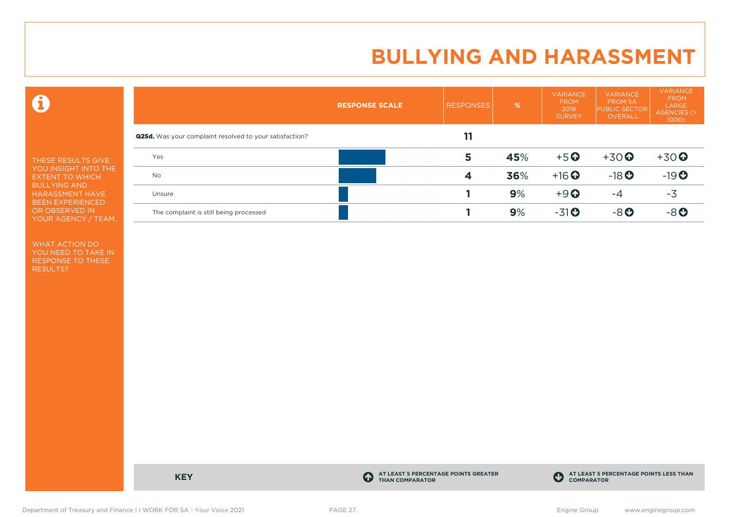0

THESE RESULTS GIVE YOU INSIGHT INTO THE EXTENT TO WHICH BULLYING AND HARASSMENT HAVE BEEN EXPERIENCED OR OBSERVED IN YOUR AGENCY / TEAM.

WHAT ACTION DO YOU NEED TO TAKE IN RESPONSE TO THESE RESULTS?

|                                                                | <b>RESPONSE SCALE</b> | <b>RESPONSES</b> | $\frac{9}{6}$ | <b>VARIANCE</b><br><b>FROM</b><br>2018<br><b>SURVEY</b> | <b>VARIANCE</b><br><b>FROM SA</b><br><b>PUBLIC SECTOR</b><br><b>OVERALL</b> | <b>VARIANCE</b><br><b>FROM</b><br>LARGE<br><b>AGENCIES (&gt;</b><br>$1000$ ) |
|----------------------------------------------------------------|-----------------------|------------------|---------------|---------------------------------------------------------|-----------------------------------------------------------------------------|------------------------------------------------------------------------------|
| <b>Q25d.</b> Was your complaint resolved to your satisfaction? |                       | 11               |               |                                                         |                                                                             |                                                                              |
| Yes                                                            |                       | 5                | 45%           | $+5$ <sup>O</sup>                                       | $+30$ <sup>O</sup>                                                          | $+30$                                                                        |
| No                                                             |                       | 4                | 36%           | $+16$ <sup>O</sup>                                      | $-18$ <b>O</b>                                                              | $-19O$                                                                       |
| Unsure                                                         |                       |                  | 9%            | $+9$ <sup><math>\odot</math></sup>                      | $-4$                                                                        | $-3$                                                                         |
| The complaint is still being processed                         |                       |                  | 9%            | $-31$ <sup>O</sup>                                      | $-8$ $O$                                                                    | $-8o$                                                                        |

**KEY C** 

**AT LEAST 5 PERCENTAGE POINTS GREATER THAN COMPARATOR**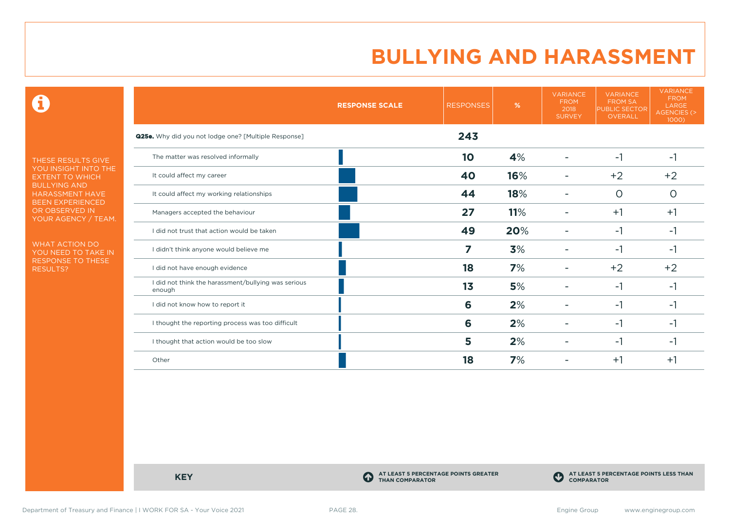0

THESE RESULTS GIVE YOU INSIGHT INTO THE EXTENT TO WHICH BULLYING AND HARASSMENT HAVE BEEN EXPERIENCED OR OBSERVED IN YOUR AGENCY / TEAM.

WHAT ACTION DO YOU NEED TO TAKE IN RESPONSE TO THESE RESULTS?

|                                                               | <b>RESPONSE SCALE</b> | <b>RESPONSES</b> | %   | <b>VARIANCE</b><br><b>FROM</b><br>2018<br><b>SURVEY</b> | <b>VARIANCE</b><br><b>FROM SA</b><br><b>PUBLIC SECTOR</b><br>OVERALL | <b>VARIANCE</b><br><b>FROM</b><br>LARGE<br>AGENCIES (><br>1000) |
|---------------------------------------------------------------|-----------------------|------------------|-----|---------------------------------------------------------|----------------------------------------------------------------------|-----------------------------------------------------------------|
| <b>Q25e.</b> Why did you not lodge one? [Multiple Response]   |                       | 243              |     |                                                         |                                                                      |                                                                 |
| The matter was resolved informally                            |                       | 10               | 4%  |                                                         | $-1$                                                                 | $-1$                                                            |
| It could affect my career                                     |                       | 40               | 16% |                                                         | $+2$                                                                 | $+2$                                                            |
| It could affect my working relationships                      |                       | 44               | 18% |                                                         | $\circ$                                                              | $\circ$                                                         |
| Managers accepted the behaviour                               |                       | 27               | 11% |                                                         | $+1$                                                                 | $+1$                                                            |
| I did not trust that action would be taken                    |                       | 49               | 20% |                                                         | $-1$                                                                 | -1                                                              |
| I didn't think anyone would believe me                        |                       | 7                | 3%  |                                                         | -1                                                                   | -1                                                              |
| I did not have enough evidence                                |                       | 18               | 7%  |                                                         | $+2$                                                                 | $+2$                                                            |
| I did not think the harassment/bullying was serious<br>enough |                       | 1 <sub>3</sub>   | 5%  |                                                         | -1                                                                   | -1                                                              |
| I did not know how to report it                               |                       | 6                | 2%  |                                                         | -1                                                                   | -1                                                              |
| I thought the reporting process was too difficult             |                       | 6                | 2%  |                                                         | $-1$                                                                 | -1                                                              |
| I thought that action would be too slow                       |                       | 5                | 2%  |                                                         | -1                                                                   | -1                                                              |
| Other                                                         |                       | 18               | 7%  |                                                         | $+1$                                                                 | $+1$                                                            |

**KEY C** 

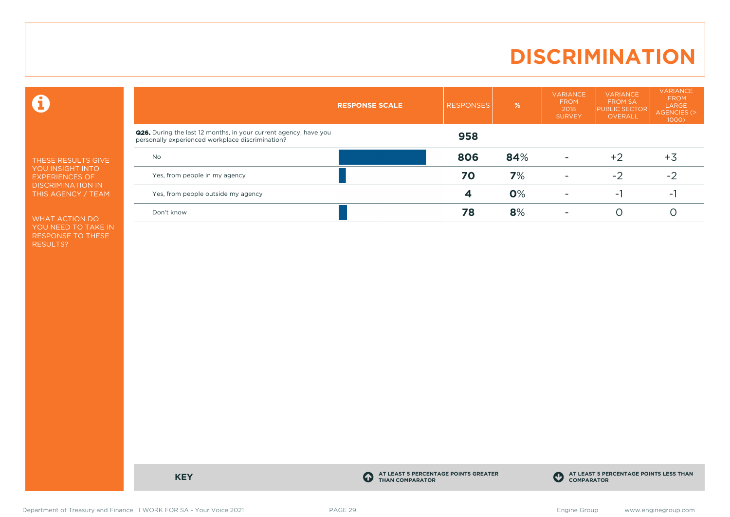### **DISCRIMINATION**

 $\mathbf \Theta$ 

THESE RESULTS GIVE YOU INSIGHT INTO EXPERIENCES OF DISCRIMINATION IN THIS AGENCY / TEAM

WHAT ACTION DO YOU NEED TO TAKE IN RESPONSE TO THESE RESULTS?

|                                                                                                                             | <b>RESPONSE SCALE</b> | <b>RESPONSES</b> | %   | <b>VARIANCE</b><br><b>FROM</b><br>2018<br><b>SURVEY</b> | <b>VARIANCE</b><br><b>FROM SA</b><br><b>PUBLIC SECTOR</b><br>OVERALL | <b>VARIANCE</b><br><b>FROM</b><br>LARGE<br>AGENCIES (><br>$1000$ ) |
|-----------------------------------------------------------------------------------------------------------------------------|-----------------------|------------------|-----|---------------------------------------------------------|----------------------------------------------------------------------|--------------------------------------------------------------------|
| <b>Q26.</b> During the last 12 months, in your current agency, have you<br>personally experienced workplace discrimination? |                       | 958              |     |                                                         |                                                                      |                                                                    |
| <b>No</b>                                                                                                                   |                       | 806              | 84% |                                                         | $+2$                                                                 | $+3$                                                               |
| Yes, from people in my agency                                                                                               |                       | 70               | 7%  | $\overline{\phantom{a}}$                                | $-2$                                                                 | -2                                                                 |
| Yes, from people outside my agency                                                                                          |                       |                  | 0%  | <b>11</b>                                               | - 1                                                                  | ÷.                                                                 |
| Don't know                                                                                                                  |                       | 78               | 8%  | <b>11</b>                                               |                                                                      |                                                                    |

**KEY C** 

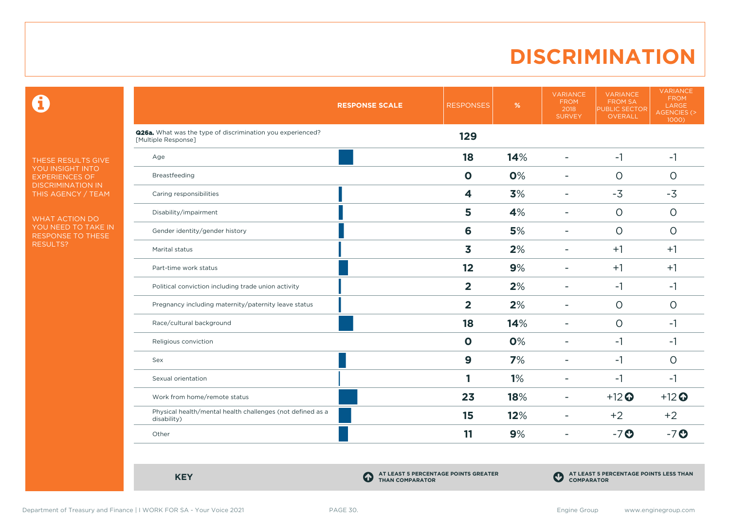### **DISCRIMINATION**

 $\mathbf \Theta$ 

THESE RESULTS GIVE YOU INSIGHT INTO EXPERIENCES OF DISCRIMINATION IN THIS AGENCY / TEAM

WHAT ACTION DO YOU NEED TO TAKE IN RESPONSE TO THESE RESULTS?

|                                                                                   | <b>RESPONSE SCALE</b> | <b>RESPONSES</b> | $\%$ | <b>VARIANCE</b><br><b>FROM</b><br>2018<br><b>SURVEY</b> | <b>VARIANCE</b><br>FROM SA<br>PUBLIC SECTOR<br><b>OVERALL</b> | <b>VARIANCE</b><br><b>FROM</b><br>LARGE<br>AGENCIES (><br>1000) |
|-----------------------------------------------------------------------------------|-----------------------|------------------|------|---------------------------------------------------------|---------------------------------------------------------------|-----------------------------------------------------------------|
| Q26a. What was the type of discrimination you experienced?<br>[Multiple Response] |                       | 129              |      |                                                         |                                                               |                                                                 |
| Age                                                                               |                       | 18               | 14%  | $\blacksquare$                                          | $-1$                                                          | $-1$                                                            |
| Breastfeeding                                                                     |                       | $\mathbf 0$      | 0%   | ۰                                                       | $\Omega$                                                      | $\Omega$                                                        |
| Caring responsibilities                                                           |                       | 4                | 3%   | $\overline{\phantom{a}}$                                | $-3$                                                          | $-3$                                                            |
| Disability/impairment                                                             |                       | 5                | 4%   | $\overline{\phantom{a}}$                                | $\circ$                                                       | $\circ$                                                         |
| Gender identity/gender history                                                    |                       | 6                | 5%   | ٠                                                       | $\circ$                                                       | $\circ$                                                         |
| Marital status                                                                    |                       | 3                | 2%   | $\overline{\phantom{a}}$                                | $+1$                                                          | $+1$                                                            |
| Part-time work status                                                             |                       | 12               | 9%   | $\blacksquare$                                          | $+1$                                                          | $+1$                                                            |
| Political conviction including trade union activity                               |                       | $\overline{2}$   | 2%   | ۰                                                       | $-1$                                                          | -1                                                              |
| Pregnancy including maternity/paternity leave status                              |                       | $\overline{2}$   | 2%   | $\overline{\phantom{a}}$                                | $\Omega$                                                      | $\Omega$                                                        |
| Race/cultural background                                                          |                       | 18               | 14%  | $\blacksquare$                                          | $\circ$                                                       | -1                                                              |
| Religious conviction                                                              |                       | $\mathbf 0$      | 0%   | $\overline{\phantom{0}}$                                | $-1$                                                          | -1                                                              |
| Sex                                                                               |                       | $\boldsymbol{9}$ | 7%   | $\overline{\phantom{a}}$                                | $-1$                                                          | $\circ$                                                         |
| Sexual orientation                                                                |                       |                  | 1%   | $\overline{\phantom{a}}$                                | $-1$                                                          | $-1$                                                            |
| Work from home/remote status                                                      |                       | 23               | 18%  | $\overline{\phantom{a}}$                                | $+12$ <sup>O</sup>                                            | $+12$ <sup>O</sup>                                              |
| Physical health/mental health challenges (not defined as a<br>disability)         |                       | 15               | 12%  | ۰                                                       | $+2$                                                          | $+2$                                                            |
| Other                                                                             |                       | 11               | 9%   | $\overline{\phantom{a}}$                                | $-7o$                                                         | $-7$ $\odot$                                                    |
|                                                                                   |                       |                  |      |                                                         |                                                               |                                                                 |

**KEY C**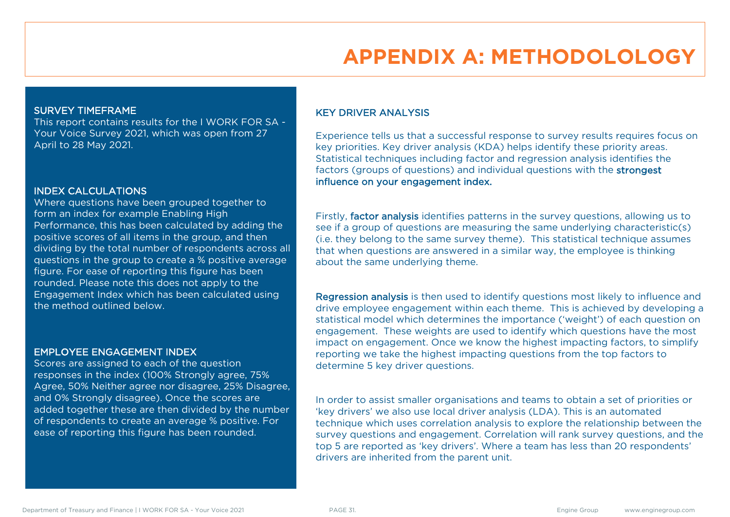# **APPENDIX A: METHODOLOLOGY**

#### SURVEY TIMEFRAME

This report contains results for the I WORK FOR SA - Your Voice Survey 2021, which was open from 27 April to 28 May 2021.

#### INDEX CALCULATIONS

Where questions have been grouped together to form an index for example Enabling High Performance, this has been calculated by adding the positive scores of all items in the group, and then dividing by the total number of respondents across all questions in the group to create a % positive average figure. For ease of reporting this figure has been rounded. Please note this does not apply to the Engagement Index which has been calculated using the method outlined below.

#### EMPLOYEE ENGAGEMENT INDEX

Scores are assigned to each of the question responses in the index (100% Strongly agree, 75% Agree, 50% Neither agree nor disagree, 25% Disagree, and 0% Strongly disagree). Once the scores are added together these are then divided by the number of respondents to create an average % positive. For ease of reporting this figure has been rounded.

#### KEY DRIVER ANALYSIS

Experience tells us that a successful response to survey results requires focus on key priorities. Key driver analysis (KDA) helps identify these priority areas. Statistical techniques including factor and regression analysis identifies the factors (groups of questions) and individual questions with the strongest influence on your engagement index.

Firstly, factor analysis identifies patterns in the survey questions, allowing us to see if a group of questions are measuring the same underlying characteristic(s) (i.e. they belong to the same survey theme). This statistical technique assumes that when questions are answered in a similar way, the employee is thinking about the same underlying theme.

Regression analysis is then used to identify questions most likely to influence and drive employee engagement within each theme. This is achieved by developing a statistical model which determines the importance ('weight') of each question on engagement. These weights are used to identify which questions have the most impact on engagement. Once we know the highest impacting factors, to simplify reporting we take the highest impacting questions from the top factors to determine 5 key driver questions.

In order to assist smaller organisations and teams to obtain a set of priorities or 'key drivers' we also use local driver analysis (LDA). This is an automated technique which uses correlation analysis to explore the relationship between the survey questions and engagement. Correlation will rank survey questions, and the top 5 are reported as 'key drivers'. Where a team has less than 20 respondents' drivers are inherited from the parent unit.